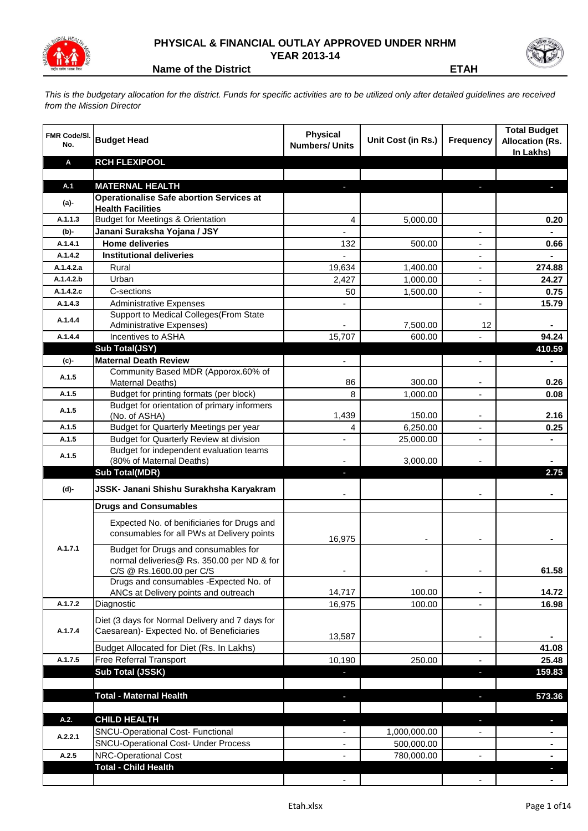

## **PHYSICAL & FINANCIAL OUTLAY APPROVED UNDER NRHM YEAR 2013-14**



**Name of the District ETAH**

*This is the budgetary allocation for the district. Funds for specific activities are to be utilized only after detailed guidelines are received from the Mission Director*

| FMR Code/SI.<br>No. | <b>Budget Head</b>                                                                                             | <b>Physical</b><br><b>Numbers/ Units</b> | Unit Cost (in Rs.) | <b>Frequency</b>         | <b>Total Budget</b><br><b>Allocation (Rs.</b><br>In Lakhs) |
|---------------------|----------------------------------------------------------------------------------------------------------------|------------------------------------------|--------------------|--------------------------|------------------------------------------------------------|
| Α                   | <b>RCH FLEXIPOOL</b>                                                                                           |                                          |                    |                          |                                                            |
|                     |                                                                                                                |                                          |                    |                          |                                                            |
| A.1                 | <b>MATERNAL HEALTH</b><br><b>Operationalise Safe abortion Services at</b>                                      | L.                                       |                    |                          |                                                            |
| (a)-                | <b>Health Facilities</b>                                                                                       |                                          |                    |                          |                                                            |
| A.1.1.3             | <b>Budget for Meetings &amp; Orientation</b>                                                                   | 4                                        | 5,000.00           |                          | 0.20                                                       |
| $(b)$ -             | Janani Suraksha Yojana / JSY                                                                                   |                                          |                    | ٠                        |                                                            |
| A.1.4.1             | <b>Home deliveries</b>                                                                                         | 132                                      | 500.00             | ٠                        | 0.66                                                       |
| A.1.4.2             | <b>Institutional deliveries</b>                                                                                |                                          |                    | ٠                        |                                                            |
| A.1.4.2.a           | Rural                                                                                                          | 19,634                                   | 1,400.00           | $\overline{\phantom{a}}$ | 274.88                                                     |
| A.1.4.2.b           | Urban                                                                                                          | 2,427                                    | 1,000.00           | $\overline{\phantom{a}}$ | 24.27                                                      |
| A.1.4.2.c           | C-sections                                                                                                     | 50                                       | 1,500.00           | $\overline{\phantom{a}}$ | 0.75                                                       |
| A.1.4.3             | <b>Administrative Expenses</b>                                                                                 |                                          |                    | $\blacksquare$           | 15.79                                                      |
| A.1.4.4             | Support to Medical Colleges (From State                                                                        |                                          |                    |                          |                                                            |
|                     | Administrative Expenses)<br>Incentives to ASHA                                                                 |                                          | 7,500.00           | 12                       |                                                            |
| A.1.4.4             | Sub Total(JSY)                                                                                                 | 15,707                                   | 600.00             |                          | 94.24<br>410.59                                            |
| (c)-                | <b>Maternal Death Review</b>                                                                                   |                                          |                    |                          |                                                            |
|                     | Community Based MDR (Apporox.60% of                                                                            |                                          |                    |                          |                                                            |
| A.1.5               | Maternal Deaths)                                                                                               | 86                                       | 300.00             |                          | 0.26                                                       |
| A.1.5               | Budget for printing formats (per block)                                                                        | 8                                        | 1,000.00           |                          | 0.08                                                       |
| A.1.5               | Budget for orientation of primary informers                                                                    |                                          |                    |                          |                                                            |
|                     | (No. of ASHA)                                                                                                  | 1,439                                    | 150.00             | ۰                        | 2.16                                                       |
| A.1.5               | Budget for Quarterly Meetings per year                                                                         | 4                                        | 6,250.00           | ٠                        | 0.25                                                       |
| A.1.5               | Budget for Quarterly Review at division                                                                        |                                          | 25,000.00          | $\blacksquare$           |                                                            |
| A.1.5               | Budget for independent evaluation teams<br>(80% of Maternal Deaths)                                            |                                          | 3,000.00           |                          |                                                            |
|                     | <b>Sub Total(MDR)</b>                                                                                          |                                          |                    |                          | 2.75                                                       |
| (d)-                | JSSK- Janani Shishu Surakhsha Karyakram                                                                        |                                          |                    |                          |                                                            |
|                     | <b>Drugs and Consumables</b>                                                                                   |                                          |                    |                          |                                                            |
|                     | Expected No. of benificiaries for Drugs and<br>consumables for all PWs at Delivery points                      | 16,975                                   |                    |                          |                                                            |
| A.1.7.1             | Budget for Drugs and consumables for<br>normal deliveries@ Rs. 350.00 per ND & for<br>C/S @ Rs.1600.00 per C/S |                                          |                    |                          | 61.58                                                      |
|                     | Drugs and consumables - Expected No. of                                                                        |                                          |                    |                          |                                                            |
|                     | ANCs at Delivery points and outreach                                                                           | 14,717                                   | 100.00             |                          | 14.72                                                      |
| A.1.7.2             | Diagnostic                                                                                                     | 16,975                                   | 100.00             |                          | 16.98                                                      |
| A.1.7.4             | Diet (3 days for Normal Delivery and 7 days for<br>Caesarean)- Expected No. of Beneficiaries                   | 13,587                                   |                    |                          |                                                            |
|                     | Budget Allocated for Diet (Rs. In Lakhs)                                                                       |                                          |                    |                          | 41.08                                                      |
| A.1.7.5             | Free Referral Transport                                                                                        | 10,190                                   | 250.00             |                          | 25.48                                                      |
|                     | Sub Total (JSSK)                                                                                               | J                                        |                    | J,                       | 159.83                                                     |
|                     |                                                                                                                |                                          |                    |                          |                                                            |
|                     | <b>Total - Maternal Health</b>                                                                                 | J,                                       |                    | ٠                        | 573.36                                                     |
| A.2.                | <b>CHILD HEALTH</b>                                                                                            | ٠                                        |                    | ٠                        | ٠                                                          |
| A.2.2.1             | SNCU-Operational Cost- Functional                                                                              | $\overline{\phantom{a}}$                 | 1,000,000.00       | -                        | $\blacksquare$                                             |
|                     | <b>SNCU-Operational Cost- Under Process</b>                                                                    | ٠                                        | 500,000.00         |                          | $\blacksquare$                                             |
| A.2.5               | <b>NRC-Operational Cost</b>                                                                                    | $\overline{\phantom{a}}$                 | 780,000.00         | $\frac{1}{2}$            | $\blacksquare$                                             |
|                     | <b>Total - Child Health</b>                                                                                    |                                          |                    |                          | ٠                                                          |
|                     |                                                                                                                | $\overline{\phantom{a}}$                 |                    | $\overline{\phantom{a}}$ | $\blacksquare$                                             |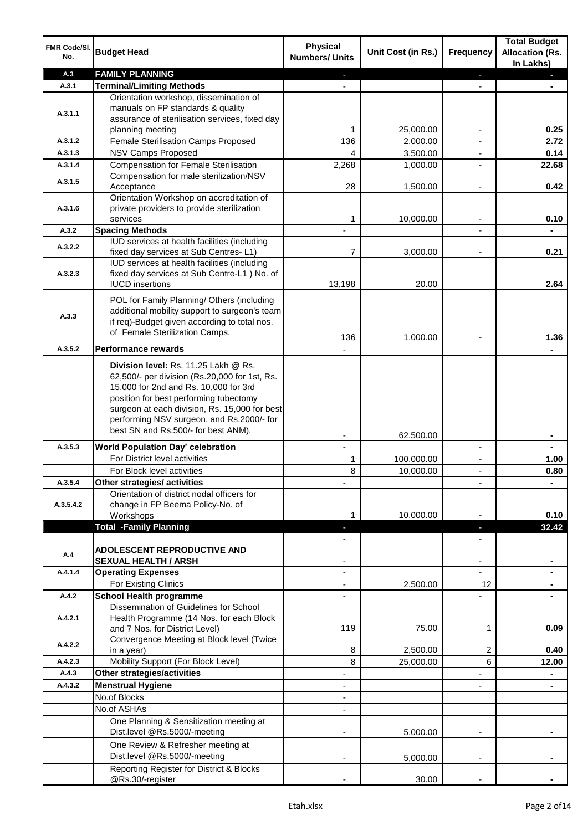| FMR Code/SI.<br>No. | <b>Budget Head</b>                                                                            | <b>Physical</b><br><b>Numbers/ Units</b> | Unit Cost (in Rs.) | Frequency                | <b>Total Budget</b><br><b>Allocation (Rs.</b><br>In Lakhs) |
|---------------------|-----------------------------------------------------------------------------------------------|------------------------------------------|--------------------|--------------------------|------------------------------------------------------------|
| A.3                 | <b>FAMILY PLANNING</b>                                                                        |                                          |                    | ٠                        |                                                            |
| A.3.1               | <b>Terminal/Limiting Methods</b>                                                              |                                          |                    |                          |                                                            |
|                     | Orientation workshop, dissemination of                                                        |                                          |                    |                          |                                                            |
| A.3.1.1             | manuals on FP standards & quality<br>assurance of sterilisation services, fixed day           |                                          |                    |                          |                                                            |
|                     | planning meeting                                                                              | 1                                        | 25,000.00          |                          | 0.25                                                       |
| A.3.1.2             | Female Sterilisation Camps Proposed                                                           | 136                                      | 2,000.00           |                          | 2.72                                                       |
| A.3.1.3             | <b>NSV Camps Proposed</b>                                                                     | 4                                        | 3,500.00           | $\blacksquare$           | 0.14                                                       |
| A.3.1.4             | <b>Compensation for Female Sterilisation</b>                                                  | 2,268                                    | 1,000.00           | $\blacksquare$           | 22.68                                                      |
| A.3.1.5             | Compensation for male sterilization/NSV                                                       |                                          |                    |                          |                                                            |
|                     | Acceptance                                                                                    | 28                                       | 1,500.00           | $\overline{a}$           | 0.42                                                       |
|                     | Orientation Workshop on accreditation of                                                      |                                          |                    |                          |                                                            |
| A.3.1.6             | private providers to provide sterilization<br>services                                        | 1                                        | 10,000.00          | $\blacksquare$           | 0.10                                                       |
| A.3.2               | <b>Spacing Methods</b>                                                                        |                                          |                    |                          |                                                            |
|                     | IUD services at health facilities (including                                                  |                                          |                    |                          |                                                            |
| A.3.2.2             | fixed day services at Sub Centres-L1)                                                         | 7                                        | 3,000.00           |                          | 0.21                                                       |
|                     | IUD services at health facilities (including                                                  |                                          |                    |                          |                                                            |
| A.3.2.3             | fixed day services at Sub Centre-L1 ) No. of                                                  | 13,198                                   | 20.00              |                          | 2.64                                                       |
|                     | <b>IUCD</b> insertions                                                                        |                                          |                    |                          |                                                            |
|                     | POL for Family Planning/ Others (including                                                    |                                          |                    |                          |                                                            |
| A.3.3               | additional mobility support to surgeon's team<br>if req)-Budget given according to total nos. |                                          |                    |                          |                                                            |
|                     | of Female Sterilization Camps.                                                                |                                          |                    |                          |                                                            |
|                     |                                                                                               | 136                                      | 1,000.00           |                          | 1.36                                                       |
| A.3.5.2             | <b>Performance rewards</b>                                                                    |                                          |                    |                          |                                                            |
|                     | Division level: Rs. 11.25 Lakh @ Rs.                                                          |                                          |                    |                          |                                                            |
|                     | 62,500/- per division (Rs.20,000 for 1st, Rs.                                                 |                                          |                    |                          |                                                            |
|                     | 15,000 for 2nd and Rs. 10,000 for 3rd<br>position for best performing tubectomy               |                                          |                    |                          |                                                            |
|                     | surgeon at each division, Rs. 15,000 for best                                                 |                                          |                    |                          |                                                            |
|                     | performing NSV surgeon, and Rs.2000/- for                                                     |                                          |                    |                          |                                                            |
|                     | best SN and Rs.500/- for best ANM).                                                           |                                          |                    |                          |                                                            |
| A.3.5.3             | <b>World Population Day' celebration</b>                                                      | $\mathbf{r}$                             | 62,500.00          | $\blacksquare$           | $\blacksquare$                                             |
|                     | For District level activities                                                                 | 1                                        | 100,000.00         | $\overline{\phantom{a}}$ | 1.00                                                       |
|                     | For Block level activities                                                                    | 8                                        | 10,000.00          | $\blacksquare$           | 0.80                                                       |
| A.3.5.4             | Other strategies/ activities                                                                  |                                          |                    |                          |                                                            |
|                     | Orientation of district nodal officers for                                                    |                                          |                    |                          |                                                            |
| A.3.5.4.2           | change in FP Beema Policy-No. of                                                              |                                          |                    |                          |                                                            |
|                     | Workshops                                                                                     |                                          | 10,000.00          |                          | 0.10                                                       |
|                     | <b>Total -Family Planning</b>                                                                 |                                          |                    |                          | 32.42                                                      |
|                     | <b>ADOLESCENT REPRODUCTIVE AND</b>                                                            |                                          |                    |                          |                                                            |
| A.4                 | <b>SEXUAL HEALTH / ARSH</b>                                                                   |                                          |                    |                          |                                                            |
| A.4.1.4             | <b>Operating Expenses</b>                                                                     |                                          |                    |                          |                                                            |
|                     | For Existing Clinics                                                                          |                                          | 2,500.00           | 12                       |                                                            |
| A.4.2               | <b>School Health programme</b>                                                                |                                          |                    |                          |                                                            |
|                     | Dissemination of Guidelines for School                                                        |                                          |                    |                          |                                                            |
| A.4.2.1             | Health Programme (14 Nos. for each Block<br>and 7 Nos. for District Level)                    | 119                                      | 75.00              | 1                        | 0.09                                                       |
|                     | Convergence Meeting at Block level (Twice                                                     |                                          |                    |                          |                                                            |
| A.4.2.2             | in a year)                                                                                    | 8                                        | 2,500.00           | 2                        | 0.40                                                       |
| A.4.2.3             | Mobility Support (For Block Level)                                                            | 8                                        | 25,000.00          | 6                        | 12.00                                                      |
| A.4.3               | <b>Other strategies/activities</b>                                                            |                                          |                    |                          |                                                            |
| A.4.3.2             | <b>Menstrual Hygiene</b>                                                                      |                                          |                    |                          |                                                            |
|                     | No.of Blocks                                                                                  |                                          |                    |                          |                                                            |
|                     | No.of ASHAs                                                                                   |                                          |                    |                          |                                                            |
|                     | One Planning & Sensitization meeting at                                                       |                                          |                    |                          |                                                            |
|                     | Dist.level @Rs.5000/-meeting                                                                  |                                          | 5,000.00           |                          |                                                            |
|                     | One Review & Refresher meeting at<br>Dist.level @Rs.5000/-meeting                             |                                          |                    |                          |                                                            |
|                     | Reporting Register for District & Blocks                                                      |                                          | 5,000.00           |                          |                                                            |
|                     | @Rs.30/-register                                                                              |                                          | 30.00              |                          |                                                            |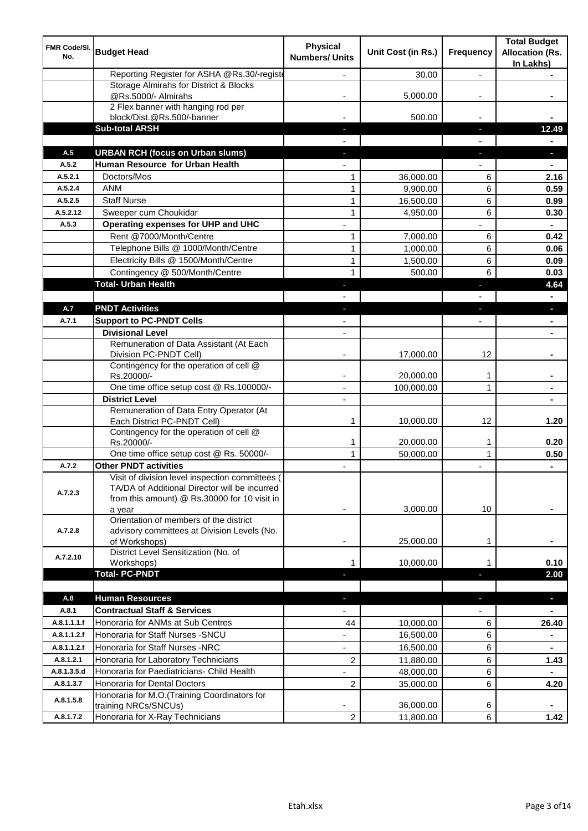| FMR Code/SI.<br>No. | <b>Budget Head</b>                                                                                                                                         | <b>Physical</b><br><b>Numbers/ Units</b> | Unit Cost (in Rs.) | Frequency      | <b>Total Budget</b><br><b>Allocation (Rs.</b><br>In Lakhs) |
|---------------------|------------------------------------------------------------------------------------------------------------------------------------------------------------|------------------------------------------|--------------------|----------------|------------------------------------------------------------|
|                     | Reporting Register for ASHA @Rs.30/-registe                                                                                                                |                                          | 30.00              | $\overline{a}$ |                                                            |
|                     | Storage Almirahs for District & Blocks                                                                                                                     |                                          |                    |                |                                                            |
|                     | @Rs.5000/- Almirahs<br>2 Flex banner with hanging rod per                                                                                                  |                                          | 5,000.00           |                |                                                            |
|                     | block/Dist.@Rs.500/-banner                                                                                                                                 |                                          | 500.00             |                |                                                            |
|                     | <b>Sub-total ARSH</b>                                                                                                                                      |                                          |                    | J,             | 12.49                                                      |
|                     |                                                                                                                                                            |                                          |                    |                |                                                            |
| A.5                 | <b>URBAN RCH (focus on Urban slums)</b>                                                                                                                    |                                          |                    | J,             |                                                            |
| A.5.2               | Human Resource for Urban Health                                                                                                                            |                                          |                    |                |                                                            |
| A.5.2.1             | Doctors/Mos                                                                                                                                                | 1                                        | 36,000.00          | 6              | 2.16                                                       |
| A.5.2.4             | <b>ANM</b>                                                                                                                                                 | $\mathbf{1}$                             | 9,900.00           | 6              | 0.59                                                       |
| A.5.2.5             | <b>Staff Nurse</b>                                                                                                                                         | $\mathbf{1}$                             | 16,500.00          | 6              | 0.99                                                       |
| A.5.2.12            | Sweeper cum Choukidar                                                                                                                                      | $\mathbf{1}$                             | 4,950.00           | 6              | 0.30                                                       |
| A.5.3               | Operating expenses for UHP and UHC                                                                                                                         |                                          |                    |                |                                                            |
|                     | Rent @7000/Month/Centre                                                                                                                                    | 1                                        | 7,000.00           | 6              | 0.42                                                       |
|                     | Telephone Bills @ 1000/Month/Centre                                                                                                                        | $\mathbf{1}$                             | 1,000.00           | 6              | 0.06                                                       |
|                     | Electricity Bills @ 1500/Month/Centre                                                                                                                      | $\mathbf{1}$                             | 1,500.00           | 6              | 0.09                                                       |
|                     | Contingency @ 500/Month/Centre                                                                                                                             | $\mathbf{1}$                             | 500.00             | 6              | 0.03                                                       |
|                     | <b>Total- Urban Health</b>                                                                                                                                 |                                          |                    | Е              | 4.64                                                       |
|                     |                                                                                                                                                            |                                          |                    |                |                                                            |
| A.7                 | <b>PNDT Activities</b>                                                                                                                                     |                                          |                    |                |                                                            |
| A.7.1               | <b>Support to PC-PNDT Cells</b>                                                                                                                            |                                          |                    |                |                                                            |
|                     | <b>Divisional Level</b>                                                                                                                                    | $\overline{\phantom{a}}$                 |                    |                |                                                            |
|                     | Remuneration of Data Assistant (At Each<br>Division PC-PNDT Cell)                                                                                          |                                          | 17,000.00          | 12             |                                                            |
|                     | Contingency for the operation of cell @<br>Rs.20000/-                                                                                                      |                                          | 20,000.00          | 1              |                                                            |
|                     | One time office setup cost @ Rs.100000/-                                                                                                                   | $\blacksquare$                           | 100,000.00         | 1              |                                                            |
|                     | <b>District Level</b>                                                                                                                                      |                                          |                    |                |                                                            |
|                     | Remuneration of Data Entry Operator (At<br>Each District PC-PNDT Cell)                                                                                     | 1                                        | 10,000.00          | 12             | 1.20                                                       |
|                     | Contingency for the operation of cell @<br>Rs.20000/-                                                                                                      | 1                                        | 20,000.00          | 1              | 0.20                                                       |
|                     | One time office setup cost @ Rs. 50000/-                                                                                                                   | $\mathbf{1}$                             | 50,000.00          | $\mathbf{1}$   | 0.50                                                       |
| A.7.2               | <b>Other PNDT activities</b>                                                                                                                               |                                          |                    |                | $\blacksquare$                                             |
| A.7.2.3             | Visit of division level inspection committees (<br>TA/DA of Additional Director will be incurred<br>from this amount) @ Rs.30000 for 10 visit in<br>a year |                                          | 3,000.00           | 10             |                                                            |
| A.7.2.8             | Orientation of members of the district<br>advisory committees at Division Levels (No.<br>of Workshops)                                                     | ٠                                        | 25,000.00          | 1              |                                                            |
| A.7.2.10            | District Level Sensitization (No. of<br>Workshops)                                                                                                         | 1                                        | 10,000.00          |                | 0.10                                                       |
|                     | <b>Total-PC-PNDT</b>                                                                                                                                       |                                          |                    |                | 2.00                                                       |
| A.8                 | <b>Human Resources</b>                                                                                                                                     |                                          |                    | ٠              | $\blacksquare$                                             |
| A.8.1               | <b>Contractual Staff &amp; Services</b>                                                                                                                    |                                          |                    |                |                                                            |
| A.8.1.1.1.f         | Honoraria for ANMs at Sub Centres                                                                                                                          | 44                                       | 10,000.00          | 6              | 26.40                                                      |
| A.8.1.1.2.f         | Honoraria for Staff Nurses - SNCU                                                                                                                          |                                          | 16,500.00          | 6              |                                                            |
| A.8.1.1.2.f         | Honoraria for Staff Nurses -NRC                                                                                                                            | $\overline{\phantom{0}}$                 | 16,500.00          | 6              | $\blacksquare$                                             |
| A.8.1.2.1           | Honoraria for Laboratory Technicians                                                                                                                       | 2                                        | 11,880.00          | 6              | 1.43                                                       |
| A.8.1.3.5.d         | Honoraria for Paediatricians- Child Health                                                                                                                 |                                          | 48,000.00          | 6              |                                                            |
| A.8.1.3.7           | Honoraria for Dental Doctors                                                                                                                               | 2                                        | 35,000.00          | 6              | 4.20                                                       |
| A.8.1.5.8           | Honoraria for M.O.(Training Coordinators for<br>training NRCs/SNCUs)                                                                                       |                                          | 36,000.00          | 6              |                                                            |
| A.8.1.7.2           | Honoraria for X-Ray Technicians                                                                                                                            | $\overline{c}$                           | 11,800.00          | 6              | 1.42                                                       |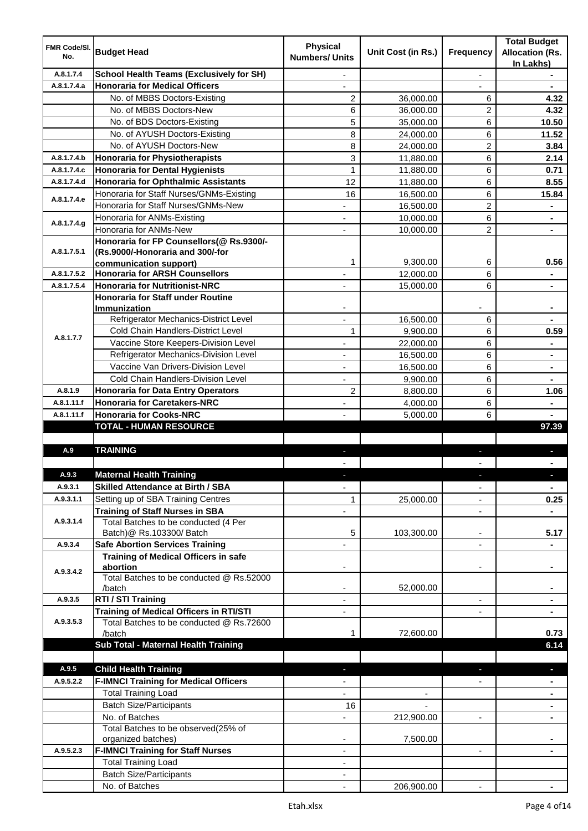| <b>FMR Code/SI.</b><br>No. | <b>Budget Head</b>                                                             | <b>Physical</b><br><b>Numbers/ Units</b> | Unit Cost (in Rs.)       | Frequency                | <b>Total Budget</b><br><b>Allocation (Rs.</b><br>In Lakhs) |
|----------------------------|--------------------------------------------------------------------------------|------------------------------------------|--------------------------|--------------------------|------------------------------------------------------------|
| A.8.1.7.4                  | <b>School Health Teams (Exclusively for SH)</b>                                |                                          |                          | $\overline{a}$           |                                                            |
| A.8.1.7.4.a                | <b>Honoraria for Medical Officers</b>                                          |                                          |                          |                          |                                                            |
|                            | No. of MBBS Doctors-Existing                                                   | $\overline{c}$                           | 36,000.00                | 6                        | 4.32                                                       |
|                            | No. of MBBS Doctors-New                                                        | 6                                        | 36,000.00                | 2                        | 4.32                                                       |
|                            | No. of BDS Doctors-Existing                                                    | 5                                        | 35,000.00                | 6                        | 10.50                                                      |
|                            | No. of AYUSH Doctors-Existing                                                  | 8                                        | 24,000.00                | 6                        | 11.52                                                      |
|                            | No. of AYUSH Doctors-New                                                       | 8                                        | 24,000.00                | 2                        | 3.84                                                       |
| A.8.1.7.4.b                | <b>Honoraria for Physiotherapists</b>                                          | 3                                        | 11,880.00                | 6                        | 2.14                                                       |
| A.8.1.7.4.c                | <b>Honoraria for Dental Hygienists</b>                                         | 1                                        | 11,880.00                | 6                        | 0.71                                                       |
| A.8.1.7.4.d                | <b>Honoraria for Ophthalmic Assistants</b>                                     | 12                                       | 11,880.00                | 6                        | 8.55                                                       |
|                            | Honoraria for Staff Nurses/GNMs-Existing                                       | 16                                       | 16,500.00                | 6                        | 15.84                                                      |
| A.8.1.7.4.e                | Honoraria for Staff Nurses/GNMs-New                                            |                                          | 16,500.00                | $\overline{2}$           |                                                            |
|                            | Honoraria for ANMs-Existing                                                    |                                          | 10,000.00                | 6                        |                                                            |
| A.8.1.7.4.g                | Honoraria for ANMs-New                                                         |                                          | 10,000.00                | $\overline{2}$           |                                                            |
|                            | Honoraria for FP Counsellors(@ Rs.9300/-                                       |                                          |                          |                          |                                                            |
| A.8.1.7.5.1                | (Rs.9000/-Honoraria and 300/-for                                               |                                          |                          |                          |                                                            |
|                            | communication support)                                                         | 1                                        | 9,300.00                 | 6                        | 0.56                                                       |
| A.8.1.7.5.2                | <b>Honoraria for ARSH Counsellors</b>                                          |                                          | 12,000.00                | 6                        | $\blacksquare$                                             |
| A.8.1.7.5.4                | <b>Honoraria for Nutritionist-NRC</b>                                          | $\overline{\phantom{0}}$                 | 15,000.00                | 6                        | $\blacksquare$                                             |
|                            | <b>Honoraria for Staff under Routine</b>                                       |                                          |                          |                          |                                                            |
|                            | <b>Immunization</b>                                                            |                                          |                          |                          |                                                            |
|                            | Refrigerator Mechanics-District Level                                          |                                          | 16,500.00                | 6                        |                                                            |
| A.8.1.7.7                  | Cold Chain Handlers-District Level                                             | 1                                        | 9,900.00                 | 6                        | 0.59                                                       |
|                            | Vaccine Store Keepers-Division Level                                           | ä,                                       | 22,000.00                | 6                        | $\blacksquare$                                             |
|                            | Refrigerator Mechanics-Division Level                                          |                                          | 16,500.00                | 6                        | $\blacksquare$                                             |
|                            | Vaccine Van Drivers-Division Level                                             | ÷,                                       | 16,500.00                | 6                        | $\blacksquare$                                             |
|                            | Cold Chain Handlers-Division Level                                             |                                          | 9,900.00                 | 6                        |                                                            |
| A.8.1.9                    | <b>Honoraria for Data Entry Operators</b>                                      | $\overline{c}$                           | 8,800.00                 | 6                        | 1.06                                                       |
| A.8.1.11.f                 | <b>Honoraria for Caretakers-NRC</b>                                            | ÷,                                       | 4,000.00                 | 6                        |                                                            |
| A.8.1.11.f                 | <b>Honoraria for Cooks-NRC</b>                                                 |                                          | 5,000.00                 | 6                        |                                                            |
|                            | <b>TOTAL - HUMAN RESOURCE</b>                                                  |                                          |                          |                          | 97.39                                                      |
|                            |                                                                                |                                          |                          |                          |                                                            |
| A.9                        | <b>TRAINING</b>                                                                | ٠                                        |                          | ٠                        | p                                                          |
|                            |                                                                                |                                          |                          |                          |                                                            |
| A.9.3                      | <b>Maternal Health Training</b>                                                |                                          |                          |                          |                                                            |
| A.9.3.1                    | <b>Skilled Attendance at Birth / SBA</b>                                       | ÷,                                       |                          | $\overline{\phantom{a}}$ | $\blacksquare$                                             |
| A.9.3.1.1                  | Setting up of SBA Training Centres                                             | 1                                        | 25,000.00                | ٠                        | 0.25                                                       |
| A.9.3.1.4                  | <b>Training of Staff Nurses in SBA</b><br>Total Batches to be conducted (4 Per | $\overline{\phantom{0}}$                 |                          | $\overline{\phantom{a}}$ |                                                            |
|                            | Batch)@ Rs.103300/ Batch                                                       | 5                                        | 103,300.00               | ٠                        | 5.17                                                       |
| A.9.3.4                    | <b>Safe Abortion Services Training</b>                                         |                                          |                          |                          |                                                            |
|                            | <b>Training of Medical Officers in safe</b>                                    |                                          |                          |                          |                                                            |
|                            | abortion                                                                       |                                          |                          | -                        |                                                            |
| A.9.3.4.2                  | Total Batches to be conducted @ Rs.52000                                       |                                          |                          |                          |                                                            |
|                            | /batch                                                                         | $\overline{\phantom{a}}$                 | 52,000.00                |                          | $\blacksquare$                                             |
| A.9.3.5                    | RTI / STI Training                                                             | $\blacksquare$                           |                          | ÷,                       | $\blacksquare$                                             |
|                            | <b>Training of Medical Officers in RTI/STI</b>                                 | $\overline{\phantom{a}}$                 |                          | L.                       | $\blacksquare$                                             |
| A.9.3.5.3                  | Total Batches to be conducted @ Rs.72600                                       |                                          |                          |                          |                                                            |
|                            | /batch                                                                         | 1                                        | 72,600.00                |                          | 0.73                                                       |
|                            | Sub Total - Maternal Health Training                                           |                                          |                          |                          | 6.14                                                       |
|                            |                                                                                |                                          |                          |                          |                                                            |
| A.9.5                      | <b>Child Health Training</b>                                                   |                                          |                          |                          | ٠                                                          |
| A.9.5.2.2                  | <b>F-IMNCI Training for Medical Officers</b>                                   |                                          |                          |                          |                                                            |
|                            | <b>Total Training Load</b>                                                     |                                          | $\overline{\phantom{a}}$ |                          | $\blacksquare$                                             |
|                            | <b>Batch Size/Participants</b>                                                 | 16                                       |                          |                          | ٠                                                          |
|                            | No. of Batches                                                                 | $\overline{\phantom{0}}$                 | 212,900.00               | ۰                        | ٠                                                          |
|                            | Total Batches to be observed(25% of                                            |                                          |                          |                          |                                                            |
|                            | organized batches)                                                             |                                          | 7,500.00                 |                          |                                                            |
| A.9.5.2.3                  | <b>F-IMNCI Training for Staff Nurses</b>                                       | ٠                                        |                          | $\blacksquare$           |                                                            |
|                            | <b>Total Training Load</b>                                                     | ٠                                        |                          |                          |                                                            |
|                            | <b>Batch Size/Participants</b>                                                 |                                          |                          |                          |                                                            |
|                            | No. of Batches                                                                 |                                          | 206,900.00               |                          |                                                            |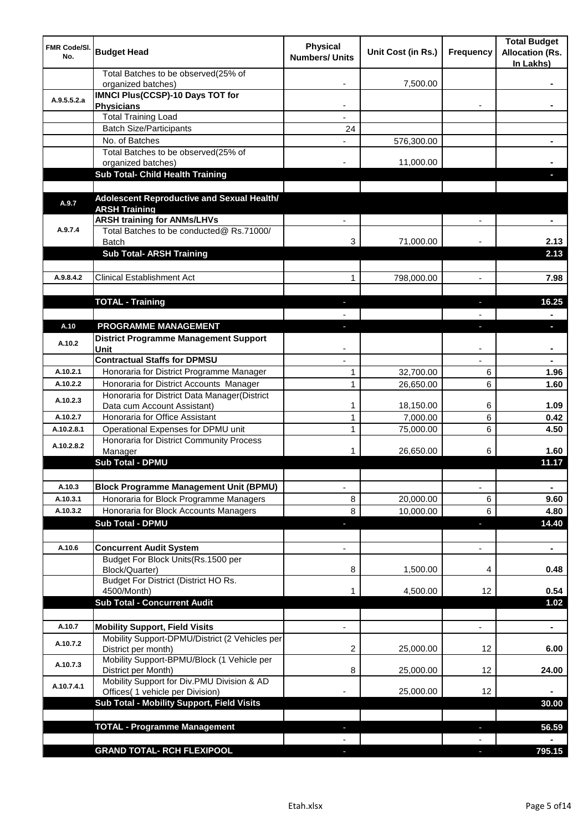| <b>FMR Code/SI.</b><br>No. | <b>Budget Head</b>                                                   | <b>Physical</b><br><b>Numbers/ Units</b> | Unit Cost (in Rs.) | Frequency                | <b>Total Budget</b><br><b>Allocation (Rs.</b><br>In Lakhs) |
|----------------------------|----------------------------------------------------------------------|------------------------------------------|--------------------|--------------------------|------------------------------------------------------------|
|                            | Total Batches to be observed(25% of<br>organized batches)            |                                          | 7,500.00           |                          |                                                            |
| A.9.5.5.2.a                | <b>IMNCI Plus(CCSP)-10 Days TOT for</b><br><b>Physicians</b>         |                                          |                    |                          |                                                            |
|                            | <b>Total Training Load</b>                                           |                                          |                    |                          |                                                            |
|                            | <b>Batch Size/Participants</b>                                       | 24                                       |                    |                          |                                                            |
|                            | No. of Batches                                                       |                                          | 576,300.00         |                          |                                                            |
|                            | Total Batches to be observed(25% of                                  |                                          |                    |                          |                                                            |
|                            | organized batches)                                                   |                                          | 11,000.00          |                          |                                                            |
|                            | Sub Total- Child Health Training                                     |                                          |                    |                          |                                                            |
| A.9.7                      | Adolescent Reproductive and Sexual Health/<br><b>ARSH Training</b>   |                                          |                    |                          |                                                            |
|                            | <b>ARSH training for ANMs/LHVs</b>                                   |                                          |                    |                          |                                                            |
| A.9.7.4                    | Total Batches to be conducted@ Rs.71000/<br>Batch                    | 3                                        | 71,000.00          |                          | 2.13                                                       |
|                            | <b>Sub Total- ARSH Training</b>                                      |                                          |                    |                          | 2.13                                                       |
|                            |                                                                      |                                          |                    |                          |                                                            |
| A.9.8.4.2                  | <b>Clinical Establishment Act</b>                                    | 1                                        | 798,000.00         | $\overline{a}$           | 7.98                                                       |
|                            |                                                                      |                                          |                    |                          |                                                            |
|                            | <b>TOTAL - Training</b>                                              |                                          |                    |                          | 16.25                                                      |
|                            |                                                                      |                                          |                    |                          |                                                            |
| A.10                       | PROGRAMME MANAGEMENT                                                 |                                          |                    |                          | a.                                                         |
| A.10.2                     | <b>District Programme Management Support</b>                         |                                          |                    |                          |                                                            |
|                            | Unit                                                                 |                                          |                    |                          |                                                            |
|                            | <b>Contractual Staffs for DPMSU</b>                                  |                                          |                    |                          |                                                            |
| A.10.2.1                   | Honoraria for District Programme Manager                             | 1                                        | 32,700.00          | 6                        | 1.96                                                       |
| A.10.2.2                   | Honoraria for District Accounts Manager                              | $\mathbf{1}$                             | 26,650.00          | 6                        | 1.60                                                       |
| A.10.2.3                   | Honoraria for District Data Manager(District                         |                                          |                    |                          |                                                            |
|                            | Data cum Account Assistant)                                          | 1                                        | 18,150.00          | 6                        | 1.09                                                       |
| A.10.2.7<br>A.10.2.8.1     | Honoraria for Office Assistant<br>Operational Expenses for DPMU unit | 1                                        | 7,000.00           | 6                        | 0.42                                                       |
|                            | Honoraria for District Community Process                             | 1                                        | 75,000.00          | 6                        | 4.50                                                       |
| A.10.2.8.2                 | Manager                                                              | 1                                        | 26,650.00          | 6                        | 1.60                                                       |
|                            | <b>Sub Total - DPMU</b>                                              |                                          |                    |                          | 11.17                                                      |
|                            |                                                                      |                                          |                    |                          |                                                            |
| A.10.3                     | <b>Block Programme Management Unit (BPMU)</b>                        | $\overline{\phantom{a}}$                 |                    | $\overline{\phantom{a}}$ | $\blacksquare$                                             |
| A.10.3.1                   | Honoraria for Block Programme Managers                               | 8                                        | 20,000.00          | 6                        | 9.60                                                       |
| A.10.3.2                   | Honoraria for Block Accounts Managers                                | 8                                        | 10,000.00          | 6                        | 4.80                                                       |
|                            | <b>Sub Total - DPMU</b>                                              | P.                                       |                    | ٠                        | 14.40                                                      |
|                            |                                                                      |                                          |                    |                          |                                                            |
| A.10.6                     | <b>Concurrent Audit System</b>                                       |                                          |                    | $\overline{\phantom{0}}$ | $\blacksquare$                                             |
|                            | Budget For Block Units(Rs. 1500 per                                  |                                          |                    |                          |                                                            |
|                            | Block/Quarter)                                                       | 8                                        | 1,500.00           | 4                        | 0.48                                                       |
|                            | Budget For District (District HO Rs.                                 |                                          |                    |                          |                                                            |
|                            | 4500/Month)<br><b>Sub Total - Concurrent Audit</b>                   | 1                                        | 4,500.00           | 12                       | 0.54                                                       |
|                            |                                                                      |                                          |                    |                          | 1.02                                                       |
| A.10.7                     | <b>Mobility Support, Field Visits</b>                                |                                          |                    | $\blacksquare$           | $\blacksquare$                                             |
|                            | Mobility Support-DPMU/District (2 Vehicles per                       |                                          |                    |                          |                                                            |
| A.10.7.2                   | District per month)                                                  | 2                                        | 25,000.00          | 12                       | 6.00                                                       |
| A.10.7.3                   | Mobility Support-BPMU/Block (1 Vehicle per<br>District per Month)    | 8                                        | 25,000.00          | 12                       | 24.00                                                      |
| A.10.7.4.1                 | Mobility Support for Div.PMU Division & AD                           |                                          |                    |                          |                                                            |
|                            | Offices( 1 vehicle per Division)                                     |                                          | 25,000.00          | 12                       |                                                            |
|                            | Sub Total - Mobility Support, Field Visits                           |                                          |                    |                          | 30.00                                                      |
|                            |                                                                      |                                          |                    |                          |                                                            |
|                            | <b>TOTAL - Programme Management</b>                                  |                                          |                    | ı.                       | 56.59                                                      |
|                            |                                                                      |                                          |                    |                          |                                                            |
|                            | <b>GRAND TOTAL- RCH FLEXIPOOL</b>                                    | a.                                       |                    | $\overline{\phantom{a}}$ | 795.15                                                     |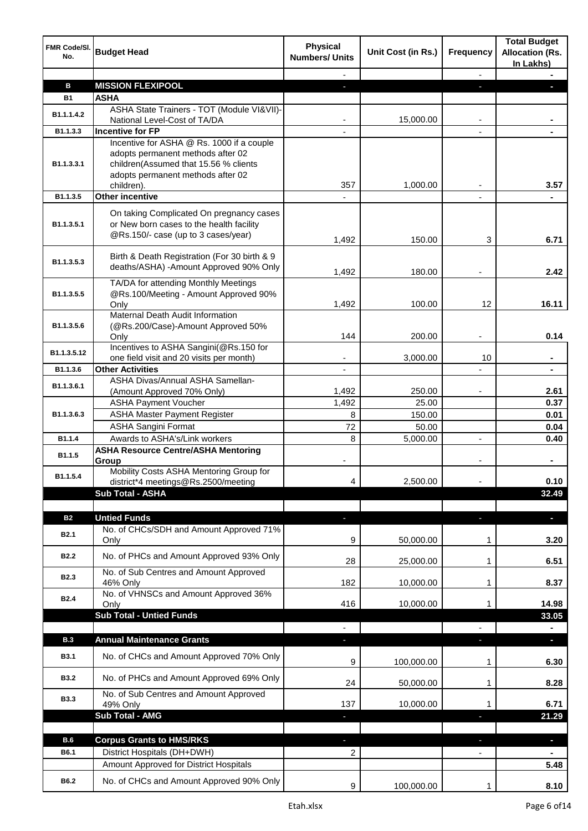| FMR Code/SI.<br>No. | <b>Budget Head</b>                                                                                                            | <b>Physical</b><br><b>Numbers/ Units</b> | Unit Cost (in Rs.) | Frequency                | <b>Total Budget</b><br><b>Allocation (Rs.</b><br>In Lakhs) |
|---------------------|-------------------------------------------------------------------------------------------------------------------------------|------------------------------------------|--------------------|--------------------------|------------------------------------------------------------|
|                     |                                                                                                                               |                                          |                    | $\overline{\phantom{a}}$ |                                                            |
| B                   | <b>MISSION FLEXIPOOL</b>                                                                                                      | a.                                       |                    | a.                       |                                                            |
| <b>B1</b>           | <b>ASHA</b>                                                                                                                   |                                          |                    |                          |                                                            |
| B1.1.1.4.2          | ASHA State Trainers - TOT (Module VI&VII)-<br>National Level-Cost of TA/DA                                                    |                                          | 15,000.00          |                          |                                                            |
| B1.1.3.3            | <b>Incentive for FP</b>                                                                                                       |                                          |                    |                          |                                                            |
|                     | Incentive for ASHA @ Rs. 1000 if a couple                                                                                     |                                          |                    |                          |                                                            |
| B1.1.3.3.1          | adopts permanent methods after 02<br>children(Assumed that 15.56 % clients<br>adopts permanent methods after 02<br>children). | 357                                      | 1,000.00           |                          | 3.57                                                       |
| B1.1.3.5            | <b>Other incentive</b>                                                                                                        |                                          |                    |                          |                                                            |
|                     |                                                                                                                               |                                          |                    |                          |                                                            |
| B1.1.3.5.1          | On taking Complicated On pregnancy cases<br>or New born cases to the health facility<br>@Rs.150/- case (up to 3 cases/year)   | 1,492                                    | 150.00             | 3                        | 6.71                                                       |
| B1.1.3.5.3          | Birth & Death Registration (For 30 birth & 9<br>deaths/ASHA) -Amount Approved 90% Only                                        | 1,492                                    | 180.00             |                          | 2.42                                                       |
| B1.1.3.5.5          | TA/DA for attending Monthly Meetings<br>@Rs.100/Meeting - Amount Approved 90%<br>Only                                         | 1,492                                    | 100.00             | 12                       | 16.11                                                      |
| B1.1.3.5.6          | Maternal Death Audit Information<br>(@Rs.200/Case)-Amount Approved 50%<br>Only                                                | 144                                      | 200.00             |                          | 0.14                                                       |
| B1.1.3.5.12         | Incentives to ASHA Sangini(@Rs.150 for<br>one field visit and 20 visits per month)                                            |                                          | 3,000.00           | 10                       | ۰                                                          |
| B1.1.3.6            | <b>Other Activities</b>                                                                                                       | $\overline{\phantom{a}}$                 |                    |                          | $\blacksquare$                                             |
|                     | ASHA Divas/Annual ASHA Samellan-                                                                                              |                                          |                    |                          |                                                            |
| B1.1.3.6.1          | (Amount Approved 70% Only)                                                                                                    | 1,492                                    | 250.00             |                          | 2.61                                                       |
|                     | <b>ASHA Payment Voucher</b>                                                                                                   | 1,492                                    | 25.00              |                          | 0.37                                                       |
| B1.1.3.6.3          | <b>ASHA Master Payment Register</b>                                                                                           | 8                                        | 150.00             |                          | 0.01                                                       |
|                     | <b>ASHA Sangini Format</b>                                                                                                    | 72                                       | 50.00              |                          | 0.04                                                       |
| B1.1.4              | Awards to ASHA's/Link workers                                                                                                 | 8                                        | 5,000.00           | $\blacksquare$           | 0.40                                                       |
| B1.1.5              | <b>ASHA Resource Centre/ASHA Mentoring</b>                                                                                    |                                          |                    |                          |                                                            |
|                     | Group                                                                                                                         |                                          |                    |                          |                                                            |
| B1.1.5.4            | Mobility Costs ASHA Mentoring Group for<br>district*4 meetings@Rs.2500/meeting                                                | 4                                        | 2,500.00           |                          | 0.10                                                       |
|                     | Sub Total - ASHA                                                                                                              |                                          |                    |                          | 32.49                                                      |
|                     |                                                                                                                               |                                          |                    |                          |                                                            |
| <b>B2</b>           | <b>Untied Funds</b>                                                                                                           | ٠                                        |                    | $\blacksquare$           | $\blacksquare$                                             |
|                     | No. of CHCs/SDH and Amount Approved 71%                                                                                       |                                          |                    |                          |                                                            |
| <b>B2.1</b>         | Only                                                                                                                          | 9                                        | 50,000.00          | 1                        | 3.20                                                       |
| <b>B2.2</b>         | No. of PHCs and Amount Approved 93% Only                                                                                      | 28                                       | 25,000.00          | 1                        | 6.51                                                       |
| <b>B2.3</b>         | No. of Sub Centres and Amount Approved<br>46% Only                                                                            | 182                                      | 10,000.00          | 1                        | 8.37                                                       |
| <b>B2.4</b>         | No. of VHNSCs and Amount Approved 36%<br>Only                                                                                 | 416                                      | 10,000.00          | 1                        | 14.98                                                      |
|                     | <b>Sub Total - Untied Funds</b>                                                                                               |                                          |                    |                          | 33.05                                                      |
|                     |                                                                                                                               |                                          |                    |                          |                                                            |
| <b>B.3</b>          | <b>Annual Maintenance Grants</b>                                                                                              | a.                                       |                    | ı.                       |                                                            |
| <b>B3.1</b>         | No. of CHCs and Amount Approved 70% Only                                                                                      |                                          |                    |                          |                                                            |
| <b>B3.2</b>         | No. of PHCs and Amount Approved 69% Only                                                                                      | 9                                        | 100,000.00         | 1                        | 6.30                                                       |
|                     | No. of Sub Centres and Amount Approved                                                                                        | 24                                       | 50,000.00          | 1                        | 8.28                                                       |
| <b>B3.3</b>         | 49% Only                                                                                                                      | 137                                      | 10,000.00          | 1                        | 6.71                                                       |
|                     | <b>Sub Total - AMG</b>                                                                                                        | P.                                       |                    | T                        | 21.29                                                      |
|                     |                                                                                                                               |                                          |                    |                          |                                                            |
| B.6                 | <b>Corpus Grants to HMS/RKS</b>                                                                                               |                                          |                    |                          | $\blacksquare$                                             |
| B6.1                | District Hospitals (DH+DWH)                                                                                                   | 2                                        |                    |                          |                                                            |
|                     | Amount Approved for District Hospitals                                                                                        |                                          |                    |                          | 5.48                                                       |
| B6.2                | No. of CHCs and Amount Approved 90% Only                                                                                      | 9                                        | 100,000.00         | 1                        | 8.10                                                       |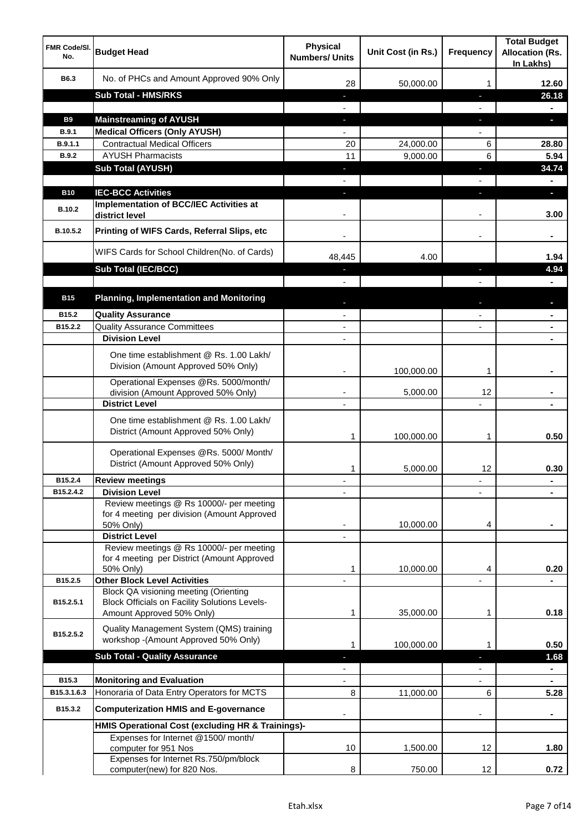| <b>FMR Code/SI.</b><br>No. | <b>Budget Head</b>                                                                                    | <b>Physical</b><br><b>Numbers/ Units</b>             | Unit Cost (in Rs.) | <b>Frequency</b>         | <b>Total Budget</b><br><b>Allocation (Rs.</b><br>In Lakhs) |
|----------------------------|-------------------------------------------------------------------------------------------------------|------------------------------------------------------|--------------------|--------------------------|------------------------------------------------------------|
| B6.3                       | No. of PHCs and Amount Approved 90% Only                                                              | 28                                                   | 50,000.00          | 1                        | 12.60                                                      |
|                            | <b>Sub Total - HMS/RKS</b>                                                                            | ٠                                                    |                    | J,                       | 26.18                                                      |
|                            |                                                                                                       |                                                      |                    |                          |                                                            |
| <b>B9</b>                  | <b>Mainstreaming of AYUSH</b>                                                                         | ÷.                                                   |                    | J,                       | ы                                                          |
| B.9.1                      | <b>Medical Officers (Only AYUSH)</b>                                                                  | $\overline{\phantom{0}}$                             |                    |                          |                                                            |
| B.9.1.1                    | <b>Contractual Medical Officers</b>                                                                   | 20                                                   | 24,000.00          | 6                        | 28.80                                                      |
| <b>B.9.2</b>               | <b>AYUSH Pharmacists</b>                                                                              | 11                                                   | 9,000.00           | 6                        | 5.94                                                       |
|                            | <b>Sub Total (AYUSH)</b>                                                                              |                                                      |                    | J,                       | 34.74                                                      |
|                            |                                                                                                       |                                                      |                    |                          |                                                            |
| <b>B10</b>                 | <b>IEC-BCC Activities</b>                                                                             |                                                      |                    |                          | ы                                                          |
| <b>B.10.2</b>              | Implementation of BCC/IEC Activities at<br>district level                                             |                                                      |                    |                          | 3.00                                                       |
| B.10.5.2                   | Printing of WIFS Cards, Referral Slips, etc                                                           |                                                      |                    | $\overline{\phantom{a}}$ |                                                            |
|                            | WIFS Cards for School Children(No. of Cards)                                                          | 48,445                                               | 4.00               |                          | 1.94                                                       |
|                            | Sub Total (IEC/BCC)                                                                                   |                                                      |                    | ı.                       | 4.94                                                       |
|                            |                                                                                                       |                                                      |                    |                          |                                                            |
| <b>B15</b>                 | <b>Planning, Implementation and Monitoring</b>                                                        |                                                      |                    |                          | L                                                          |
| B <sub>15.2</sub>          | <b>Quality Assurance</b>                                                                              |                                                      |                    |                          | $\blacksquare$                                             |
| B15.2.2                    | <b>Quality Assurance Committees</b>                                                                   | $\blacksquare$                                       |                    | ٠                        | $\blacksquare$                                             |
|                            | <b>Division Level</b>                                                                                 | $\overline{\phantom{a}}$                             |                    |                          | $\blacksquare$                                             |
|                            | One time establishment @ Rs. 1.00 Lakh/<br>Division (Amount Approved 50% Only)                        |                                                      |                    |                          |                                                            |
|                            |                                                                                                       |                                                      | 100,000.00         | 1                        |                                                            |
|                            | Operational Expenses @Rs. 5000/month/<br>division (Amount Approved 50% Only)<br><b>District Level</b> | $\overline{\phantom{a}}$<br>$\overline{\phantom{a}}$ | 5,000.00           | 12                       |                                                            |
|                            |                                                                                                       |                                                      |                    |                          |                                                            |
|                            | One time establishment @ Rs. 1.00 Lakh/<br>District (Amount Approved 50% Only)                        | 1                                                    | 100,000.00         | 1                        | 0.50                                                       |
|                            | Operational Expenses @Rs. 5000/ Month/<br>District (Amount Approved 50% Only)                         | 1                                                    | 5,000.00           | 12                       | 0.30                                                       |
| B15.2.4                    | <b>Review meetings</b>                                                                                | ٠                                                    |                    | $\overline{\phantom{a}}$ |                                                            |
| B15.2.4.2                  | <b>Division Level</b>                                                                                 |                                                      |                    |                          |                                                            |
|                            | Review meetings @ Rs 10000/- per meeting<br>for 4 meeting per division (Amount Approved<br>50% Only)  |                                                      | 10,000.00          | 4                        |                                                            |
|                            | <b>District Level</b>                                                                                 |                                                      |                    |                          |                                                            |
|                            | Review meetings @ Rs 10000/- per meeting                                                              |                                                      |                    |                          |                                                            |
|                            | for 4 meeting per District (Amount Approved<br>50% Only)                                              | 1                                                    | 10,000.00          | 4                        | 0.20                                                       |
| B15.2.5                    | <b>Other Block Level Activities</b>                                                                   |                                                      |                    |                          |                                                            |
|                            | <b>Block QA visioning meeting (Orienting</b>                                                          |                                                      |                    |                          |                                                            |
| B15.2.5.1                  | <b>Block Officials on Facility Solutions Levels-</b>                                                  |                                                      |                    |                          |                                                            |
|                            | Amount Approved 50% Only)                                                                             | 1                                                    | 35,000.00          | 1                        | 0.18                                                       |
| B15.2.5.2                  | Quality Management System (QMS) training<br>workshop -(Amount Approved 50% Only)                      | 1                                                    | 100,000.00         | 1                        | 0.50                                                       |
|                            | <b>Sub Total - Quality Assurance</b>                                                                  |                                                      |                    | T                        | 1.68                                                       |
|                            |                                                                                                       |                                                      |                    |                          | $\blacksquare$                                             |
| B15.3                      | <b>Monitoring and Evaluation</b>                                                                      |                                                      |                    |                          |                                                            |
| B15.3.1.6.3                | Honoraria of Data Entry Operators for MCTS                                                            | 8                                                    | 11,000.00          | 6                        | 5.28                                                       |
| B15.3.2                    | <b>Computerization HMIS and E-governance</b>                                                          |                                                      |                    |                          |                                                            |
|                            | HMIS Operational Cost (excluding HR & Trainings)-                                                     |                                                      |                    |                          |                                                            |
|                            | Expenses for Internet @1500/month/<br>computer for 951 Nos                                            | 10                                                   | 1,500.00           | 12                       | 1.80                                                       |
|                            | Expenses for Internet Rs.750/pm/block                                                                 |                                                      |                    |                          |                                                            |
|                            | computer(new) for 820 Nos.                                                                            | 8                                                    | 750.00             | 12                       | 0.72                                                       |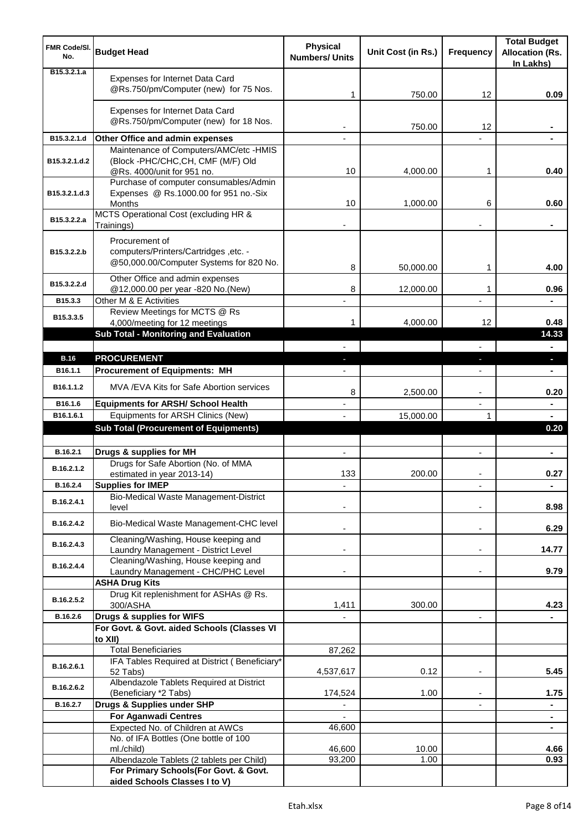| FMR Code/SI.<br>No.          | <b>Budget Head</b>                                                                                                | <b>Physical</b><br><b>Numbers/ Units</b> | Unit Cost (in Rs.) | <b>Frequency</b>         | <b>Total Budget</b><br><b>Allocation (Rs.</b><br>In Lakhs) |
|------------------------------|-------------------------------------------------------------------------------------------------------------------|------------------------------------------|--------------------|--------------------------|------------------------------------------------------------|
| B <sub>15</sub> , 3, 2, 1, a | Expenses for Internet Data Card<br>@Rs.750/pm/Computer (new) for 75 Nos.                                          | 1                                        | 750.00             | 12                       | 0.09                                                       |
|                              | Expenses for Internet Data Card<br>@Rs.750/pm/Computer (new) for 18 Nos.                                          |                                          | 750.00             | 12                       |                                                            |
| B15.3.2.1.d                  | Other Office and admin expenses                                                                                   |                                          |                    |                          |                                                            |
| B15.3.2.1.d.2                | Maintenance of Computers/AMC/etc -HMIS<br>(Block -PHC/CHC,CH, CMF (M/F) Old<br>@Rs. 4000/unit for 951 no.         | 10                                       | 4,000.00           | 1                        | 0.40                                                       |
| B15.3.2.1.d.3                | Purchase of computer consumables/Admin<br>Expenses @ Rs.1000.00 for 951 no.-Six<br>Months                         | 10                                       | 1,000.00           | 6                        | 0.60                                                       |
| B15.3.2.2.a                  | MCTS Operational Cost (excluding HR &<br>Trainings)                                                               |                                          |                    |                          |                                                            |
| B15.3.2.2.b                  | Procurement of<br>computers/Printers/Cartridges ,etc. -<br>@50,000.00/Computer Systems for 820 No.                | 8                                        | 50,000.00          | 1                        | 4.00                                                       |
| B15.3.2.2.d                  | Other Office and admin expenses<br>@12,000.00 per year -820 No.(New)                                              | 8                                        | 12,000.00          | 1                        | 0.96                                                       |
| B15.3.3                      | Other M & E Activities<br>Review Meetings for MCTS @ Rs                                                           |                                          |                    |                          |                                                            |
| B15.3.3.5                    | 4,000/meeting for 12 meetings<br>Sub Total - Monitoring and Evaluation                                            | 1                                        | 4,000.00           | 12                       | 0.48<br>14.33                                              |
|                              |                                                                                                                   |                                          |                    |                          |                                                            |
| <b>B.16</b>                  | <b>PROCUREMENT</b>                                                                                                |                                          |                    | J,                       | o.                                                         |
| B <sub>16.1.1</sub>          | <b>Procurement of Equipments: MH</b>                                                                              |                                          |                    |                          |                                                            |
| B16.1.1.2                    | MVA / EVA Kits for Safe Abortion services                                                                         | 8                                        | 2,500.00           | $\overline{\phantom{a}}$ | 0.20                                                       |
| B16.1.6                      | <b>Equipments for ARSH/ School Health</b>                                                                         |                                          |                    | $\overline{a}$           | ۰                                                          |
| B16.1.6.1                    | Equipments for ARSH Clinics (New)                                                                                 |                                          | 15,000.00          | 1                        | $\blacksquare$                                             |
|                              | <b>Sub Total (Procurement of Equipments)</b>                                                                      |                                          |                    |                          | 0.20                                                       |
| B.16.2.1                     | Drugs & supplies for MH                                                                                           | $\blacksquare$                           |                    | $\blacksquare$           | $\blacksquare$                                             |
| B.16.2.1.2                   | Drugs for Safe Abortion (No. of MMA<br>estimated in year 2013-14)                                                 | 133                                      | 200.00             |                          | 0.27                                                       |
| B.16.2.4                     | <b>Supplies for IMEP</b>                                                                                          |                                          |                    |                          | ۰                                                          |
| B.16.2.4.1                   | Bio-Medical Waste Management-District<br>level                                                                    |                                          |                    |                          | 8.98                                                       |
| B.16.2.4.2                   | Bio-Medical Waste Management-CHC level                                                                            |                                          |                    | $\overline{\phantom{a}}$ | 6.29                                                       |
| B.16.2.4.3                   | Cleaning/Washing, House keeping and<br>Laundry Management - District Level<br>Cleaning/Washing, House keeping and |                                          |                    | $\blacksquare$           | 14.77                                                      |
| B.16.2.4.4                   | Laundry Management - CHC/PHC Level<br><b>ASHA Drug Kits</b>                                                       |                                          |                    |                          | 9.79                                                       |
| B.16.2.5.2                   | Drug Kit replenishment for ASHAs @ Rs.<br>300/ASHA                                                                | 1,411                                    | 300.00             |                          | 4.23                                                       |
| B.16.2.6                     | Drugs & supplies for WIFS                                                                                         |                                          |                    | $\overline{\phantom{a}}$ |                                                            |
|                              | For Govt. & Govt. aided Schools (Classes VI                                                                       |                                          |                    |                          |                                                            |
|                              | to XII)<br><b>Total Beneficiaries</b>                                                                             |                                          |                    |                          |                                                            |
|                              | IFA Tables Required at District (Beneficiary*                                                                     | 87,262                                   |                    |                          |                                                            |
| B.16.2.6.1                   | 52 Tabs)<br>Albendazole Tablets Required at District                                                              | 4,537,617                                | 0.12               | ٠                        | 5.45                                                       |
| B.16.2.6.2                   | (Beneficiary *2 Tabs)                                                                                             | 174,524                                  | 1.00               |                          | 1.75                                                       |
| B.16.2.7                     | Drugs & Supplies under SHP                                                                                        |                                          |                    |                          | ۰                                                          |
|                              | <b>For Aganwadi Centres</b>                                                                                       |                                          |                    |                          | $\blacksquare$                                             |
|                              | Expected No. of Children at AWCs                                                                                  | 46,600                                   |                    |                          | $\blacksquare$                                             |
|                              | No. of IFA Bottles (One bottle of 100<br>ml./child)                                                               | 46,600                                   | 10.00              |                          | 4.66                                                       |
|                              | Albendazole Tablets (2 tablets per Child)                                                                         | 93,200                                   | 1.00               |                          | 0.93                                                       |
|                              | For Primary Schools(For Govt. & Govt.<br>aided Schools Classes I to V)                                            |                                          |                    |                          |                                                            |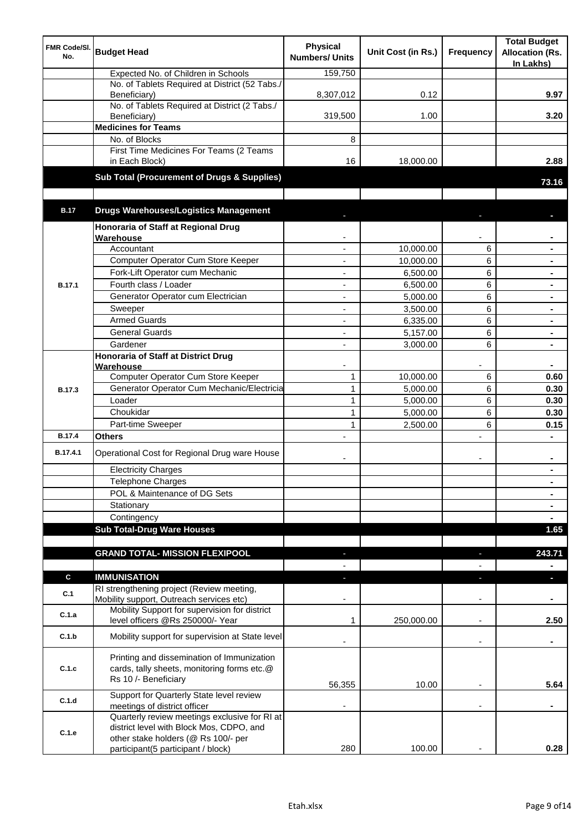| FMR Code/SI.<br>No. | <b>Budget Head</b>                                                                                                | <b>Physical</b><br><b>Numbers/ Units</b> | Unit Cost (in Rs.) | Frequency                | <b>Total Budget</b><br><b>Allocation (Rs.</b><br>In Lakhs) |
|---------------------|-------------------------------------------------------------------------------------------------------------------|------------------------------------------|--------------------|--------------------------|------------------------------------------------------------|
|                     | Expected No. of Children in Schools                                                                               | 159,750                                  |                    |                          |                                                            |
|                     | No. of Tablets Required at District (52 Tabs./<br>Beneficiary)                                                    | 8,307,012                                | 0.12               |                          | 9.97                                                       |
|                     | No. of Tablets Required at District (2 Tabs./<br>Beneficiary)                                                     | 319,500                                  | 1.00               |                          | 3.20                                                       |
|                     | <b>Medicines for Teams</b>                                                                                        |                                          |                    |                          |                                                            |
|                     | No. of Blocks                                                                                                     | 8                                        |                    |                          |                                                            |
|                     | First Time Medicines For Teams (2 Teams<br>in Each Block)                                                         | 16                                       | 18,000.00          |                          | 2.88                                                       |
|                     | Sub Total (Procurement of Drugs & Supplies)                                                                       |                                          |                    |                          | 73.16                                                      |
| <b>B.17</b>         | <b>Drugs Warehouses/Logistics Management</b>                                                                      |                                          |                    |                          |                                                            |
|                     | Honoraria of Staff at Regional Drug                                                                               |                                          |                    |                          |                                                            |
|                     | Warehouse                                                                                                         |                                          |                    |                          |                                                            |
|                     | Accountant                                                                                                        |                                          | 10,000.00          | 6                        |                                                            |
|                     | Computer Operator Cum Store Keeper                                                                                |                                          | 10,000.00          | 6                        |                                                            |
|                     | Fork-Lift Operator cum Mechanic                                                                                   |                                          | 6,500.00           | 6                        |                                                            |
| <b>B.17.1</b>       | Fourth class / Loader                                                                                             |                                          | 6,500.00           | 6                        |                                                            |
|                     | Generator Operator cum Electrician                                                                                | ٠                                        | 5,000.00           | 6                        |                                                            |
|                     | Sweeper                                                                                                           | ٠                                        | 3,500.00           | 6                        | $\blacksquare$                                             |
|                     | <b>Armed Guards</b>                                                                                               | $\blacksquare$                           | 6,335.00           | 6                        | $\blacksquare$                                             |
|                     | <b>General Guards</b>                                                                                             | ÷,                                       | 5,157.00           | 6                        |                                                            |
|                     | Gardener                                                                                                          | ÷,                                       | 3,000.00           | 6                        | $\blacksquare$                                             |
|                     | Honoraria of Staff at District Drug                                                                               |                                          |                    |                          |                                                            |
|                     | Warehouse                                                                                                         |                                          |                    |                          |                                                            |
|                     | Computer Operator Cum Store Keeper                                                                                | $\mathbf{1}$                             | 10,000.00          | 6                        | 0.60                                                       |
| <b>B.17.3</b>       | Generator Operator Cum Mechanic/Electricia                                                                        | $\mathbf{1}$                             | 5,000.00           | 6                        | 0.30                                                       |
|                     | Loader                                                                                                            | $\mathbf{1}$                             | 5,000.00           | 6                        | 0.30                                                       |
|                     | Choukidar                                                                                                         | $\mathbf{1}$                             | 5,000.00           | 6                        | 0.30                                                       |
|                     | Part-time Sweeper                                                                                                 | $\mathbf{1}$                             | 2,500.00           | 6                        | 0.15                                                       |
| <b>B.17.4</b>       | <b>Others</b>                                                                                                     |                                          |                    | L.                       |                                                            |
| B.17.4.1            | Operational Cost for Regional Drug ware House                                                                     |                                          |                    | ۰                        | ٠                                                          |
|                     | <b>Electricity Charges</b>                                                                                        |                                          |                    |                          | $\blacksquare$                                             |
|                     | Telephone Charges                                                                                                 |                                          |                    |                          | $\blacksquare$                                             |
|                     | POL & Maintenance of DG Sets                                                                                      |                                          |                    |                          | $\blacksquare$                                             |
|                     | Stationary                                                                                                        |                                          |                    |                          | $\blacksquare$                                             |
|                     | Contingency                                                                                                       |                                          |                    |                          | $\blacksquare$                                             |
|                     | <b>Sub Total-Drug Ware Houses</b>                                                                                 |                                          |                    |                          | 1.65                                                       |
|                     | <b>GRAND TOTAL- MISSION FLEXIPOOL</b>                                                                             | E.                                       |                    |                          | 243.71                                                     |
|                     |                                                                                                                   |                                          |                    |                          |                                                            |
| C                   | <b>IMMUNISATION</b>                                                                                               |                                          |                    |                          | п                                                          |
| C.1                 | RI strengthening project (Review meeting,<br>Mobility support, Outreach services etc)                             |                                          |                    |                          |                                                            |
| C.1.a               | Mobility Support for supervision for district<br>level officers @Rs 250000/- Year                                 | 1                                        | 250,000.00         |                          | 2.50                                                       |
| C.1.b               | Mobility support for supervision at State level                                                                   |                                          |                    | $\overline{\phantom{a}}$ | ٠                                                          |
| C.1.c               | Printing and dissemination of Immunization<br>cards, tally sheets, monitoring forms etc.@<br>Rs 10 /- Beneficiary | 56,355                                   | 10.00              |                          | 5.64                                                       |
| C.1.d               | Support for Quarterly State level review                                                                          |                                          |                    |                          |                                                            |
|                     | meetings of district officer<br>Quarterly review meetings exclusive for RI at                                     |                                          |                    |                          |                                                            |
| C.1.e               | district level with Block Mos, CDPO, and<br>other stake holders (@ Rs 100/- per                                   |                                          |                    |                          |                                                            |
|                     | participant(5 participant / block)                                                                                | 280                                      | 100.00             |                          | 0.28                                                       |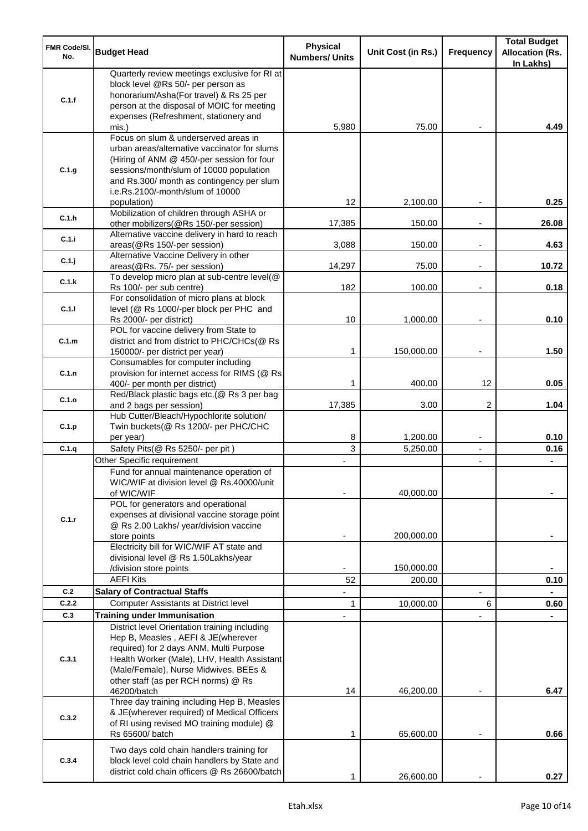| <b>FMR Code/SI.</b><br>No. | <b>Budget Head</b>                                                                                                                                                                                                                                                           | <b>Physical</b><br><b>Numbers/ Units</b> | Unit Cost (in Rs.)   | <b>Frequency</b>         | <b>Total Budget</b><br><b>Allocation (Rs.</b><br>In Lakhs) |
|----------------------------|------------------------------------------------------------------------------------------------------------------------------------------------------------------------------------------------------------------------------------------------------------------------------|------------------------------------------|----------------------|--------------------------|------------------------------------------------------------|
| C.1.f                      | Quarterly review meetings exclusive for RI at<br>block level @Rs 50/- per person as<br>honorarium/Asha(For travel) & Rs 25 per<br>person at the disposal of MOIC for meeting<br>expenses (Refreshment, stationery and                                                        |                                          |                      |                          |                                                            |
|                            | mis.)                                                                                                                                                                                                                                                                        | 5,980                                    | 75.00                |                          | 4.49                                                       |
| C.1.g                      | Focus on slum & underserved areas in<br>urban areas/alternative vaccinator for slums<br>(Hiring of ANM @ 450/-per session for four<br>sessions/month/slum of 10000 population<br>and Rs.300/ month as contingency per slum<br>i.e.Rs.2100/-month/slum of 10000               |                                          |                      |                          |                                                            |
|                            | population)<br>Mobilization of children through ASHA or                                                                                                                                                                                                                      | 12                                       | 2,100.00             |                          | 0.25                                                       |
| C.1.h                      | other mobilizers(@Rs 150/-per session)<br>Alternative vaccine delivery in hard to reach                                                                                                                                                                                      | 17,385                                   | 150.00               |                          | 26.08                                                      |
| C.1.i                      | areas(@Rs 150/-per session)                                                                                                                                                                                                                                                  | 3,088                                    | 150.00               | $\overline{\phantom{a}}$ | 4.63                                                       |
| C.1.j                      | Alternative Vaccine Delivery in other<br>areas(@Rs. 75/- per session)                                                                                                                                                                                                        | 14,297                                   | 75.00                | $\overline{\phantom{a}}$ | 10.72                                                      |
| C.1.k                      | To develop micro plan at sub-centre level(@<br>Rs 100/- per sub centre)                                                                                                                                                                                                      | 182                                      | 100.00               |                          | 0.18                                                       |
|                            | For consolidation of micro plans at block                                                                                                                                                                                                                                    |                                          |                      |                          |                                                            |
| C.1.1                      | level (@ Rs 1000/-per block per PHC and<br>Rs 2000/- per district)                                                                                                                                                                                                           | 10                                       | 1,000.00             |                          | 0.10                                                       |
|                            | POL for vaccine delivery from State to                                                                                                                                                                                                                                       |                                          |                      |                          |                                                            |
| C.1.m                      | district and from district to PHC/CHCs(@ Rs                                                                                                                                                                                                                                  |                                          |                      |                          |                                                            |
|                            | 150000/- per district per year)<br>Consumables for computer including                                                                                                                                                                                                        | 1                                        | 150,000.00           | $\overline{\phantom{a}}$ | 1.50                                                       |
| C.1.n                      | provision for internet access for RIMS (@ Rs                                                                                                                                                                                                                                 | 1                                        | 400.00               | 12                       | 0.05                                                       |
|                            | 400/- per month per district)<br>Red/Black plastic bags etc.(@ Rs 3 per bag                                                                                                                                                                                                  |                                          |                      |                          |                                                            |
| C.1.o                      | and 2 bags per session)                                                                                                                                                                                                                                                      | 17,385                                   | 3.00                 | 2                        | 1.04                                                       |
| C.1.p                      | Hub Cutter/Bleach/Hypochlorite solution/<br>Twin buckets(@ Rs 1200/- per PHC/CHC<br>per year)                                                                                                                                                                                | 8                                        | 1,200.00             | $\overline{\phantom{a}}$ | 0.10                                                       |
| C.1.q                      | Safety Pits(@ Rs 5250/- per pit)                                                                                                                                                                                                                                             | 3                                        | 5,250.00             | $\blacksquare$           | 0.16                                                       |
|                            | Other Specific requirement                                                                                                                                                                                                                                                   |                                          |                      | $\blacksquare$           |                                                            |
|                            | Fund for annual maintenance operation of<br>WIC/WIF at division level @ Rs.40000/unit<br>of WIC/WIF                                                                                                                                                                          |                                          | 40,000.00            |                          |                                                            |
| C.1.r                      | POL for generators and operational<br>expenses at divisional vaccine storage point<br>@ Rs 2.00 Lakhs/ year/division vaccine<br>store points                                                                                                                                 |                                          | 200,000.00           |                          |                                                            |
|                            | Electricity bill for WIC/WIF AT state and                                                                                                                                                                                                                                    |                                          |                      |                          |                                                            |
|                            | divisional level @ Rs 1.50Lakhs/year                                                                                                                                                                                                                                         |                                          |                      |                          |                                                            |
|                            | /division store points<br><b>AEFI Kits</b>                                                                                                                                                                                                                                   | 52                                       | 150,000.00<br>200.00 |                          | 0.10                                                       |
| C.2                        | <b>Salary of Contractual Staffs</b>                                                                                                                                                                                                                                          |                                          |                      |                          |                                                            |
| C.2.2                      | <b>Computer Assistants at District level</b>                                                                                                                                                                                                                                 | 1                                        | 10,000.00            | 6                        | 0.60                                                       |
| C.3                        | <b>Training under Immunisation</b>                                                                                                                                                                                                                                           |                                          |                      |                          |                                                            |
| C.3.1                      | District level Orientation training including<br>Hep B, Measles, AEFI & JE(wherever<br>required) for 2 days ANM, Multi Purpose<br>Health Worker (Male), LHV, Health Assistant<br>(Male/Female), Nurse Midwives, BEEs &<br>other staff (as per RCH norms) @ Rs<br>46200/batch | 14                                       | 46,200.00            |                          | 6.47                                                       |
| C.3.2                      | Three day training including Hep B, Measles<br>& JE(wherever required) of Medical Officers<br>of RI using revised MO training module) @<br>Rs 65600/ batch                                                                                                                   | 1                                        | 65,600.00            |                          | 0.66                                                       |
| C.3.4                      | Two days cold chain handlers training for<br>block level cold chain handlers by State and<br>district cold chain officers @ Rs 26600/batch                                                                                                                                   | 1                                        | 26,600.00            |                          | 0.27                                                       |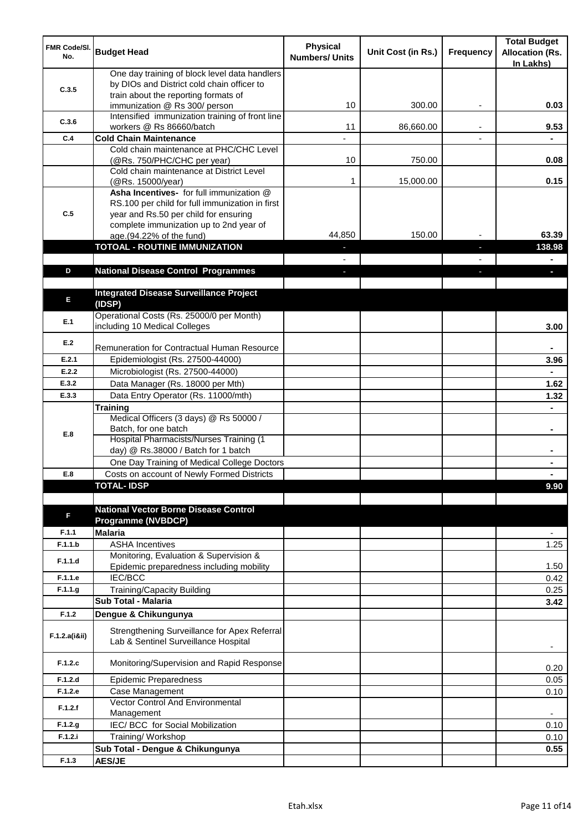| <b>FMR Code/SI.</b><br>No. | <b>Budget Head</b>                                                                                                                   | <b>Physical</b><br><b>Numbers/ Units</b> | Unit Cost (in Rs.) | Frequency | <b>Total Budget</b><br><b>Allocation (Rs.</b><br>In Lakhs) |
|----------------------------|--------------------------------------------------------------------------------------------------------------------------------------|------------------------------------------|--------------------|-----------|------------------------------------------------------------|
| C.3.5                      | One day training of block level data handlers<br>by DIOs and District cold chain officer to<br>train about the reporting formats of  |                                          |                    |           |                                                            |
|                            | immunization @ Rs 300/ person                                                                                                        | 10                                       | 300.00             | ٠         | 0.03                                                       |
| C.3.6                      | Intensified immunization training of front line<br>workers @ Rs 86660/batch                                                          | 11                                       | 86,660.00          |           | 9.53                                                       |
| C.4                        | <b>Cold Chain Maintenance</b>                                                                                                        |                                          |                    |           |                                                            |
|                            | Cold chain maintenance at PHC/CHC Level<br>(@Rs. 750/PHC/CHC per year)                                                               | 10                                       | 750.00             |           | 0.08                                                       |
|                            | Cold chain maintenance at District Level<br>(@Rs. 15000/year)                                                                        | 1                                        | 15,000.00          |           | 0.15                                                       |
| C.5                        | Asha Incentives- for full immunization @<br>RS.100 per child for full immunization in first<br>year and Rs.50 per child for ensuring |                                          |                    |           |                                                            |
|                            | complete immunization up to 2nd year of<br>age.(94.22% of the fund)                                                                  | 44,850                                   | 150.00             |           | 63.39                                                      |
|                            | <b>TOTOAL - ROUTINE IMMUNIZATION</b>                                                                                                 |                                          |                    |           | 138.98                                                     |
|                            |                                                                                                                                      |                                          |                    |           |                                                            |
| D                          | <b>National Disease Control Programmes</b>                                                                                           |                                          |                    |           |                                                            |
|                            |                                                                                                                                      |                                          |                    |           |                                                            |
| E                          | <b>Integrated Disease Surveillance Project</b><br>(IDSP)                                                                             |                                          |                    |           |                                                            |
| E.1                        | Operational Costs (Rs. 25000/0 per Month)<br>including 10 Medical Colleges                                                           |                                          |                    |           | 3.00                                                       |
| E.2                        | Remuneration for Contractual Human Resource                                                                                          |                                          |                    |           |                                                            |
| E.2.1                      | Epidemiologist (Rs. 27500-44000)                                                                                                     |                                          |                    |           | 3.96                                                       |
| E.2.2                      | Microbiologist (Rs. 27500-44000)                                                                                                     |                                          |                    |           |                                                            |
| E.3.2                      | Data Manager (Rs. 18000 per Mth)                                                                                                     |                                          |                    |           | 1.62                                                       |
| E.3.3                      | Data Entry Operator (Rs. 11000/mth)                                                                                                  |                                          |                    |           | 1.32                                                       |
|                            | <b>Training</b>                                                                                                                      |                                          |                    |           |                                                            |
|                            | Medical Officers (3 days) @ Rs 50000 /                                                                                               |                                          |                    |           |                                                            |
| E.8                        | Batch, for one batch<br>Hospital Pharmacists/Nurses Training (1                                                                      |                                          |                    |           | $\blacksquare$                                             |
|                            | day) @ Rs.38000 / Batch for 1 batch                                                                                                  |                                          |                    |           |                                                            |
|                            | One Day Training of Medical College Doctors                                                                                          |                                          |                    |           |                                                            |
| E.8                        | Costs on account of Newly Formed Districts<br><b>TOTAL-IDSP</b>                                                                      |                                          |                    |           |                                                            |
|                            |                                                                                                                                      |                                          |                    |           | 9.90                                                       |
| F                          | <b>National Vector Borne Disease Control</b><br><b>Programme (NVBDCP)</b>                                                            |                                          |                    |           |                                                            |
| F.1.1                      | <b>Malaria</b>                                                                                                                       |                                          |                    |           | $\overline{\phantom{a}}$                                   |
| F.1.1.b                    | <b>ASHA Incentives</b>                                                                                                               |                                          |                    |           | 1.25                                                       |
| F.1.1.d                    | Monitoring, Evaluation & Supervision &<br>Epidemic preparedness including mobility                                                   |                                          |                    |           | 1.50                                                       |
| F.1.1.e                    | IEC/BCC                                                                                                                              |                                          |                    |           | 0.42                                                       |
| F.1.1.g                    | Training/Capacity Building                                                                                                           |                                          |                    |           | 0.25                                                       |
|                            | <b>Sub Total - Malaria</b>                                                                                                           |                                          |                    |           | 3.42                                                       |
| F.1.2                      | Dengue & Chikungunya                                                                                                                 |                                          |                    |           |                                                            |
| F.1.2.a(iⅈ)                | Strengthening Surveillance for Apex Referral<br>Lab & Sentinel Surveillance Hospital                                                 |                                          |                    |           |                                                            |
| F.1.2.c                    | Monitoring/Supervision and Rapid Response                                                                                            |                                          |                    |           | 0.20                                                       |
| F.1.2.d                    | <b>Epidemic Preparedness</b>                                                                                                         |                                          |                    |           | 0.05                                                       |
| F.1.2.e                    | Case Management<br>Vector Control And Environmental                                                                                  |                                          |                    |           | 0.10                                                       |
| F.1.2.f                    | Management                                                                                                                           |                                          |                    |           | $\overline{\phantom{a}}$                                   |
| F.1.2.g                    | IEC/ BCC for Social Mobilization                                                                                                     |                                          |                    |           | 0.10                                                       |
| F.1.2.i                    | Training/ Workshop                                                                                                                   |                                          |                    |           | 0.10                                                       |
|                            | Sub Total - Dengue & Chikungunya                                                                                                     |                                          |                    |           | 0.55                                                       |
| F.1.3                      | <b>AES/JE</b>                                                                                                                        |                                          |                    |           |                                                            |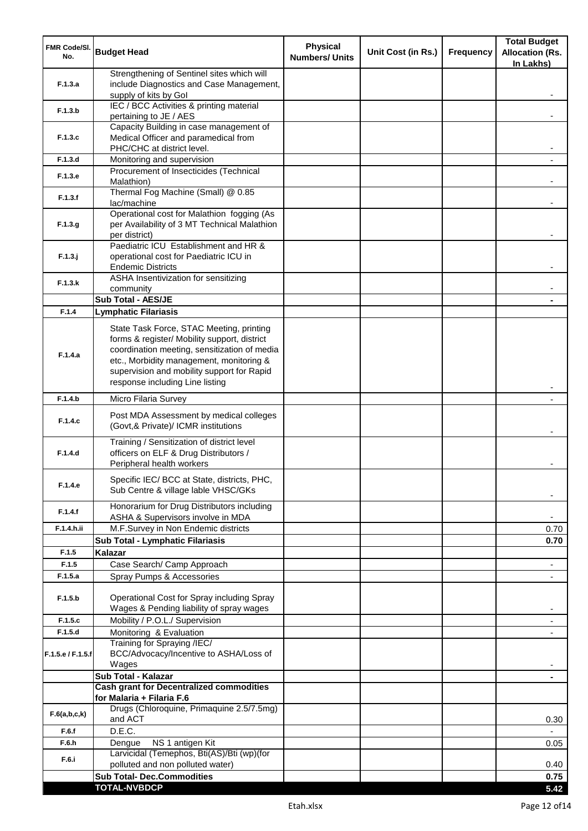| <b>FMR Code/SI.</b><br>No. | <b>Budget Head</b>                                                                                                                                                                                                                                                    | <b>Physical</b><br><b>Numbers/ Units</b> | Unit Cost (in Rs.) | <b>Frequency</b> | <b>Total Budget</b><br><b>Allocation (Rs.</b><br>In Lakhs) |
|----------------------------|-----------------------------------------------------------------------------------------------------------------------------------------------------------------------------------------------------------------------------------------------------------------------|------------------------------------------|--------------------|------------------|------------------------------------------------------------|
| F.1.3.a                    | Strengthening of Sentinel sites which will<br>include Diagnostics and Case Management,<br>supply of kits by Gol                                                                                                                                                       |                                          |                    |                  |                                                            |
| F.1.3.b                    | IEC / BCC Activities & printing material<br>pertaining to JE / AES                                                                                                                                                                                                    |                                          |                    |                  |                                                            |
| F.1.3.c                    | Capacity Building in case management of<br>Medical Officer and paramedical from                                                                                                                                                                                       |                                          |                    |                  |                                                            |
| F.1.3.d                    | PHC/CHC at district level.<br>Monitoring and supervision                                                                                                                                                                                                              |                                          |                    |                  |                                                            |
|                            | Procurement of Insecticides (Technical                                                                                                                                                                                                                                |                                          |                    |                  |                                                            |
| F.1.3.e                    | Malathion)<br>Thermal Fog Machine (Small) @ 0.85                                                                                                                                                                                                                      |                                          |                    |                  |                                                            |
| F.1.3.f                    | lac/machine                                                                                                                                                                                                                                                           |                                          |                    |                  |                                                            |
| F.1.3.g                    | Operational cost for Malathion fogging (As<br>per Availability of 3 MT Technical Malathion<br>per district)                                                                                                                                                           |                                          |                    |                  |                                                            |
| $F.1.3.$ j                 | Paediatric ICU Establishment and HR &<br>operational cost for Paediatric ICU in<br><b>Endemic Districts</b>                                                                                                                                                           |                                          |                    |                  |                                                            |
| F.1.3.k                    | ASHA Insentivization for sensitizing                                                                                                                                                                                                                                  |                                          |                    |                  |                                                            |
|                            | community<br>Sub Total - AES/JE                                                                                                                                                                                                                                       |                                          |                    |                  |                                                            |
| F.1.4                      | <b>Lymphatic Filariasis</b>                                                                                                                                                                                                                                           |                                          |                    |                  |                                                            |
| F.1.4.a                    | State Task Force, STAC Meeting, printing<br>forms & register/ Mobility support, district<br>coordination meeting, sensitization of media<br>etc., Morbidity management, monitoring &<br>supervision and mobility support for Rapid<br>response including Line listing |                                          |                    |                  |                                                            |
| F.1.4.b                    | Micro Filaria Survey                                                                                                                                                                                                                                                  |                                          |                    |                  |                                                            |
| F.1.4.c                    | Post MDA Assessment by medical colleges<br>(Govt,& Private)/ ICMR institutions                                                                                                                                                                                        |                                          |                    |                  |                                                            |
| F.1.4.d                    | Training / Sensitization of district level<br>officers on ELF & Drug Distributors /<br>Peripheral health workers                                                                                                                                                      |                                          |                    |                  |                                                            |
| F.1.4.e                    | Specific IEC/ BCC at State, districts, PHC,<br>Sub Centre & village lable VHSC/GKs                                                                                                                                                                                    |                                          |                    |                  |                                                            |
| F.1.4.f                    | Honorarium for Drug Distributors including<br>ASHA & Supervisors involve in MDA                                                                                                                                                                                       |                                          |                    |                  | ٠                                                          |
| F.1.4.h.ii                 | M.F.Survey in Non Endemic districts                                                                                                                                                                                                                                   |                                          |                    |                  | 0.70                                                       |
|                            | Sub Total - Lymphatic Filariasis                                                                                                                                                                                                                                      |                                          |                    |                  | 0.70                                                       |
| F.1.5<br>F.1.5             | <b>Kalazar</b><br>Case Search/ Camp Approach                                                                                                                                                                                                                          |                                          |                    |                  | $\overline{\phantom{a}}$                                   |
| F.1.5.a                    | Spray Pumps & Accessories                                                                                                                                                                                                                                             |                                          |                    |                  | $\blacksquare$                                             |
| F.1.5.b                    | Operational Cost for Spray including Spray<br>Wages & Pending liability of spray wages                                                                                                                                                                                |                                          |                    |                  |                                                            |
| F.1.5.c                    | Mobility / P.O.L./ Supervision                                                                                                                                                                                                                                        |                                          |                    |                  |                                                            |
| F.1.5.d                    | Monitoring & Evaluation                                                                                                                                                                                                                                               |                                          |                    |                  |                                                            |
| F.1.5.e / F.1.5.f          | Training for Spraying /IEC/<br>BCC/Advocacy/Incentive to ASHA/Loss of<br>Wages                                                                                                                                                                                        |                                          |                    |                  |                                                            |
|                            | Sub Total - Kalazar                                                                                                                                                                                                                                                   |                                          |                    |                  | $\blacksquare$                                             |
|                            | <b>Cash grant for Decentralized commodities</b><br>for Malaria + Filaria F.6                                                                                                                                                                                          |                                          |                    |                  |                                                            |
| F.6(a,b,c,k)               | Drugs (Chloroquine, Primaquine 2.5/7.5mg)<br>and ACT                                                                                                                                                                                                                  |                                          |                    |                  | 0.30                                                       |
| F.6.f                      | D.E.C.                                                                                                                                                                                                                                                                |                                          |                    |                  |                                                            |
| F.6.h                      | NS 1 antigen Kit<br>Dengue<br>Larvicidal (Temephos, Bti(AS)/Bti (wp)(for                                                                                                                                                                                              |                                          |                    |                  | 0.05                                                       |
| F.6.i                      | polluted and non polluted water)                                                                                                                                                                                                                                      |                                          |                    |                  | 0.40                                                       |
|                            | <b>Sub Total- Dec.Commodities</b>                                                                                                                                                                                                                                     |                                          |                    |                  | 0.75                                                       |
|                            | <b>TOTAL-NVBDCP</b>                                                                                                                                                                                                                                                   |                                          |                    |                  | 5.42                                                       |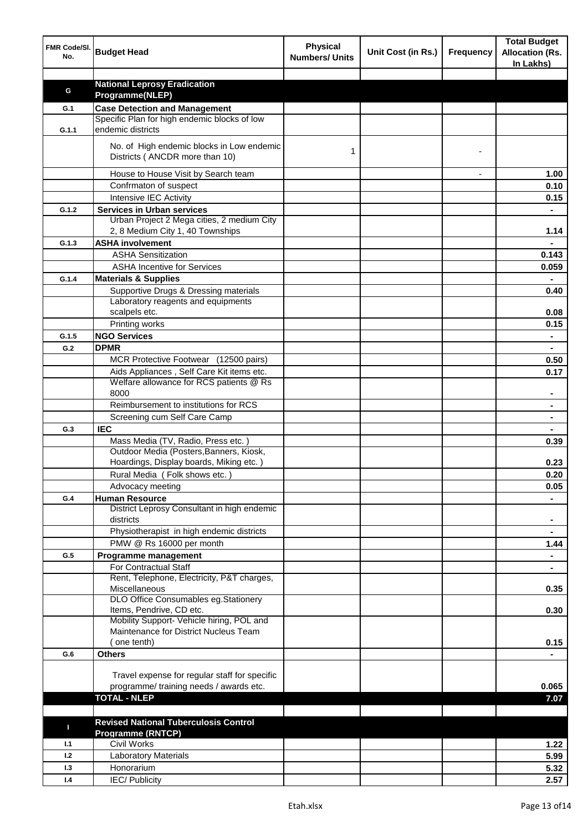| FMR Code/SI.<br>No. | <b>Budget Head</b>                                                                   | <b>Physical</b><br><b>Numbers/ Units</b> | Unit Cost (in Rs.) | <b>Frequency</b> | <b>Total Budget</b><br><b>Allocation (Rs.</b><br>In Lakhs) |
|---------------------|--------------------------------------------------------------------------------------|------------------------------------------|--------------------|------------------|------------------------------------------------------------|
|                     |                                                                                      |                                          |                    |                  |                                                            |
| G                   | <b>National Leprosy Eradication</b>                                                  |                                          |                    |                  |                                                            |
|                     | Programme(NLEP)                                                                      |                                          |                    |                  |                                                            |
| G.1                 | <b>Case Detection and Management</b><br>Specific Plan for high endemic blocks of low |                                          |                    |                  |                                                            |
| G.1.1               | endemic districts                                                                    |                                          |                    |                  |                                                            |
|                     | No. of High endemic blocks in Low endemic<br>Districts (ANCDR more than 10)          | 1                                        |                    |                  |                                                            |
|                     | House to House Visit by Search team                                                  |                                          |                    |                  | 1.00                                                       |
|                     | Confrmaton of suspect                                                                |                                          |                    |                  | 0.10                                                       |
|                     | Intensive IEC Activity                                                               |                                          |                    |                  | 0.15                                                       |
| G.1.2               | <b>Services in Urban services</b>                                                    |                                          |                    |                  |                                                            |
|                     | Urban Project 2 Mega cities, 2 medium City                                           |                                          |                    |                  |                                                            |
|                     | 2, 8 Medium City 1, 40 Townships                                                     |                                          |                    |                  | 1.14                                                       |
| G.1.3               | <b>ASHA involvement</b>                                                              |                                          |                    |                  |                                                            |
|                     | <b>ASHA Sensitization</b>                                                            |                                          |                    |                  | 0.143                                                      |
|                     | <b>ASHA Incentive for Services</b>                                                   |                                          |                    |                  | 0.059                                                      |
| G.1.4               | <b>Materials &amp; Supplies</b>                                                      |                                          |                    |                  |                                                            |
|                     | Supportive Drugs & Dressing materials                                                |                                          |                    |                  | 0.40                                                       |
|                     | Laboratory reagents and equipments                                                   |                                          |                    |                  |                                                            |
|                     | scalpels etc.                                                                        |                                          |                    |                  | 0.08                                                       |
|                     | Printing works                                                                       |                                          |                    |                  | 0.15                                                       |
| G.1.5               | <b>NGO Services</b>                                                                  |                                          |                    |                  | $\blacksquare$                                             |
| G.2                 | <b>DPMR</b>                                                                          |                                          |                    |                  | $\blacksquare$                                             |
|                     | MCR Protective Footwear (12500 pairs)                                                |                                          |                    |                  | 0.50                                                       |
|                     | Aids Appliances, Self Care Kit items etc.<br>Welfare allowance for RCS patients @ Rs |                                          |                    |                  | 0.17                                                       |
|                     | 8000                                                                                 |                                          |                    |                  |                                                            |
|                     | Reimbursement to institutions for RCS                                                |                                          |                    |                  |                                                            |
|                     | Screening cum Self Care Camp                                                         |                                          |                    |                  |                                                            |
| G.3                 | <b>IEC</b>                                                                           |                                          |                    |                  |                                                            |
|                     | Mass Media (TV, Radio, Press etc.)                                                   |                                          |                    |                  | 0.39                                                       |
|                     | Outdoor Media (Posters, Banners, Kiosk,                                              |                                          |                    |                  |                                                            |
|                     | Hoardings, Display boards, Miking etc.)                                              |                                          |                    |                  | 0.23                                                       |
|                     | Rural Media (Folk shows etc.)                                                        |                                          |                    |                  | 0.20                                                       |
|                     | Advocacy meeting                                                                     |                                          |                    |                  | 0.05                                                       |
| G.4                 | <b>Human Resource</b>                                                                |                                          |                    |                  |                                                            |
|                     | District Leprosy Consultant in high endemic<br>districts                             |                                          |                    |                  | $\blacksquare$                                             |
|                     | Physiotherapist in high endemic districts                                            |                                          |                    |                  | $\blacksquare$                                             |
|                     | PMW @ Rs 16000 per month                                                             |                                          |                    |                  | 1.44                                                       |
| G.5                 | Programme management                                                                 |                                          |                    |                  | $\blacksquare$                                             |
|                     | For Contractual Staff                                                                |                                          |                    |                  |                                                            |
|                     | Rent, Telephone, Electricity, P&T charges,                                           |                                          |                    |                  |                                                            |
|                     | Miscellaneous                                                                        |                                          |                    |                  | 0.35                                                       |
|                     | DLO Office Consumables eg.Stationery<br>Items, Pendrive, CD etc.                     |                                          |                    |                  | 0.30                                                       |
|                     | Mobility Support- Vehicle hiring, POL and                                            |                                          |                    |                  |                                                            |
|                     | Maintenance for District Nucleus Team                                                |                                          |                    |                  |                                                            |
|                     | (one tenth)                                                                          |                                          |                    |                  | 0.15                                                       |
| G.6                 | <b>Others</b>                                                                        |                                          |                    |                  |                                                            |
|                     |                                                                                      |                                          |                    |                  |                                                            |
|                     | Travel expense for regular staff for specific                                        |                                          |                    |                  |                                                            |
|                     | programme/ training needs / awards etc.                                              |                                          |                    |                  | 0.065                                                      |
|                     | <b>TOTAL - NLEP</b>                                                                  |                                          |                    |                  | 7.07                                                       |
|                     |                                                                                      |                                          |                    |                  |                                                            |
| П                   | <b>Revised National Tuberculosis Control</b>                                         |                                          |                    |                  |                                                            |
| 1.1                 | <b>Programme (RNTCP)</b><br><b>Civil Works</b>                                       |                                          |                    |                  |                                                            |
| 1.2                 | <b>Laboratory Materials</b>                                                          |                                          |                    |                  | 1.22<br>5.99                                               |
| 1.3                 | Honorarium                                                                           |                                          |                    |                  | 5.32                                                       |
| 1.4                 | <b>IEC/Publicity</b>                                                                 |                                          |                    |                  | 2.57                                                       |
|                     |                                                                                      |                                          |                    |                  |                                                            |